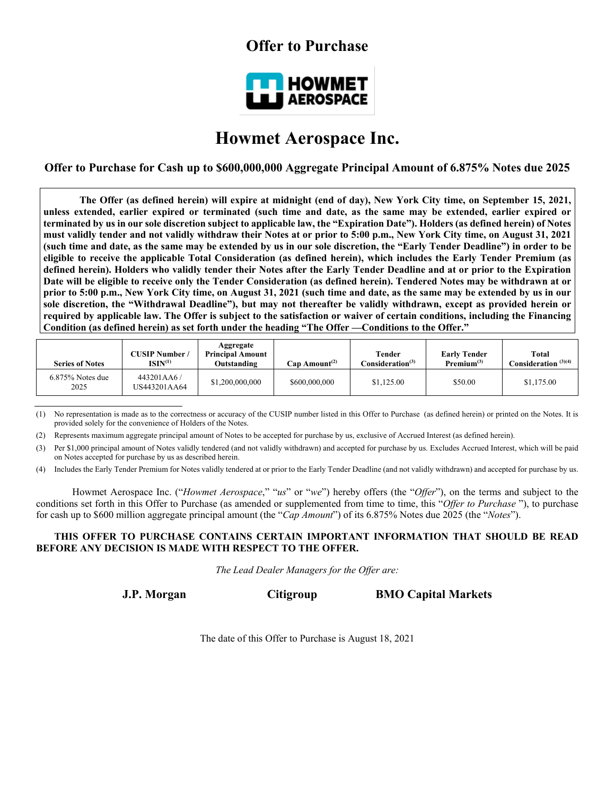## **Offer to Purchase**



# **Howmet Aerospace Inc.**

**Offer to Purchase for Cash up to \$600,000,000 Aggregate Principal Amount of 6.875% Notes due 2025**

**The Offer (as defined herein) will expire at midnight (end of day), New York City time, on September 15, 2021, unless extended, earlier expired or terminated (such time and date, as the same may be extended, earlier expired or terminated by us in our sole discretion subject to applicable law, the "Expiration Date"). Holders (as defined herein) of Notes must validly tender and not validly withdraw their Notes at or prior to 5:00 p.m., New York City time, on August 31, 2021 (such time and date, as the same may be extended by us in our sole discretion, the "Early Tender Deadline") in order to be eligible to receive the applicable Total Consideration (as defined herein), which includes the Early Tender Premium (as defined herein). Holders who validly tender their Notes after the Early Tender Deadline and at or prior to the Expiration Date will be eligible to receive only the Tender Consideration (as defined herein). Tendered Notes may be withdrawn at or prior to 5:00 p.m., New York City time, on August 31, 2021 (such time and date, as the same may be extended by us in our sole discretion, the "Withdrawal Deadline"), but may not thereafter be validly withdrawn, except as provided herein or required by applicable law. The Offer is subject to the satisfaction or waiver of certain conditions, including the Financing Condition (as defined herein) as set forth under the heading "The Offer —Conditions to the Offer."**

| <b>Series of Notes</b>      | <b>CUSIP Number</b> /<br>$ISIN^{(1)}$ | Aggregate<br><b>Principal Amount</b><br>Outstanding | Cap Amount <sup>(2)</sup> | Tender<br>Consideration <sup>(3)</sup> | <b>Early Tender</b><br>Premium <sup>(3)</sup> | Total<br>Consideration $^{(3)(4)}$ |
|-----------------------------|---------------------------------------|-----------------------------------------------------|---------------------------|----------------------------------------|-----------------------------------------------|------------------------------------|
| $6.875\%$ Notes due<br>2025 | 443201AA6/<br>US443201AA64            | \$1,200,000,000                                     | \$600,000,000             | \$1,125.00                             | \$50.00                                       | \$1,175.00                         |

(1) No representation is made as to the correctness or accuracy of the CUSIP number listed in this Offer to Purchase (as defined herein) or printed on the Notes. It is provided solely for the convenience of Holders of the Notes.

(2) Represents maximum aggregate principal amount of Notes to be accepted for purchase by us, exclusive of Accrued Interest (as defined herein).

(3) Per \$1,000 principal amount of Notes validly tendered (and not validly withdrawn) and accepted for purchase by us. Excludes Accrued Interest, which will be paid on Notes accepted for purchase by us as described herein.

(4) Includes the Early Tender Premium for Notes validly tendered at or prior to the Early Tender Deadline (and not validly withdrawn) and accepted for purchase by us.

Howmet Aerospace Inc. ("*Howmet Aerospace*," "*us*" or "*we*") hereby offers (the "*Offer*"), on the terms and subject to the conditions set forth in this Offer to Purchase (as amended or supplemented from time to time, this "*Offer to Purchase* "), to purchase for cash up to \$600 million aggregate principal amount (the "*Cap Amount*") of its 6.875% Notes due 2025 (the "*Notes*").

## **THIS OFFER TO PURCHASE CONTAINS CERTAIN IMPORTANT INFORMATION THAT SHOULD BE READ BEFORE ANY DECISION IS MADE WITH RESPECT TO THE OFFER.**

*The Lead Dealer Managers for the Offer are:*

**J.P. Morgan Citigroup BMO Capital Markets**

The date of this Offer to Purchase is August 18, 2021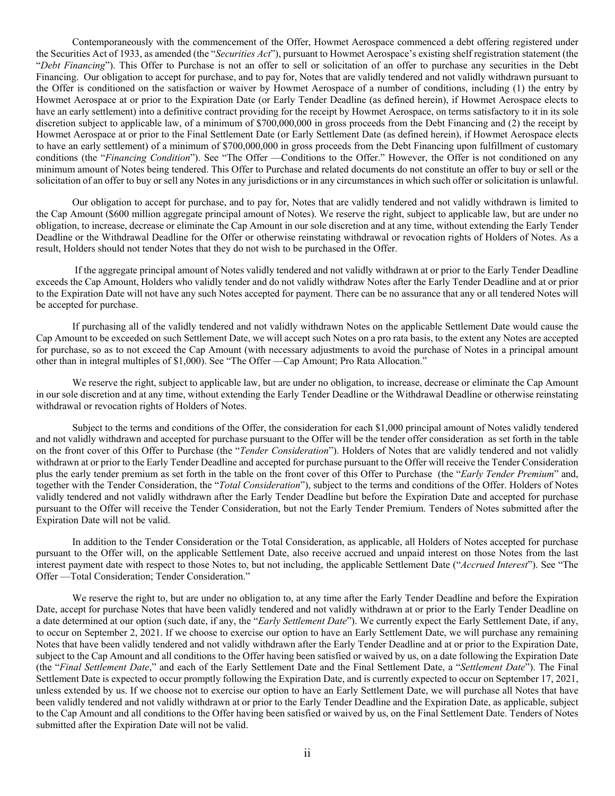Contemporaneously with the commencement of the Offer, Howmet Aerospace commenced a debt offering registered under the Securities Act of 1933, as amended (the "*Securities Act*"), pursuant to Howmet Aerospace's existing shelf registration statement (the "*Debt Financing*"). This Offer to Purchase is not an offer to sell or solicitation of an offer to purchase any securities in the Debt Financing. Our obligation to accept for purchase, and to pay for, Notes that are validly tendered and not validly withdrawn pursuant to the Offer is conditioned on the satisfaction or waiver by Howmet Aerospace of a number of conditions, including (1) the entry by Howmet Aerospace at or prior to the Expiration Date (or Early Tender Deadline (as defined herein), if Howmet Aerospace elects to have an early settlement) into a definitive contract providing for the receipt by Howmet Aerospace, on terms satisfactory to it in its sole discretion subject to applicable law, of a minimum of \$700,000,000 in gross proceeds from the Debt Financing and (2) the receipt by Howmet Aerospace at or prior to the Final Settlement Date (or Early Settlement Date (as defined herein), if Howmet Aerospace elects to have an early settlement) of a minimum of \$700,000,000 in gross proceeds from the Debt Financing upon fulfillment of customary conditions (the "*Financing Condition*"). See "The Offer —Conditions to the Offer." However, the Offer is not conditioned on any minimum amount of Notes being tendered. This Offer to Purchase and related documents do not constitute an offer to buy or sell or the solicitation of an offer to buy or sell any Notes in any jurisdictions or in any circumstances in which such offer or solicitation is unlawful.

Our obligation to accept for purchase, and to pay for, Notes that are validly tendered and not validly withdrawn is limited to the Cap Amount (\$600 million aggregate principal amount of Notes). We reserve the right, subject to applicable law, but are under no obligation, to increase, decrease or eliminate the Cap Amount in our sole discretion and at any time, without extending the Early Tender Deadline or the Withdrawal Deadline for the Offer or otherwise reinstating withdrawal or revocation rights of Holders of Notes. As a result, Holders should not tender Notes that they do not wish to be purchased in the Offer.

If the aggregate principal amount of Notes validly tendered and not validly withdrawn at or prior to the Early Tender Deadline exceeds the Cap Amount, Holders who validly tender and do not validly withdraw Notes after the Early Tender Deadline and at or prior to the Expiration Date will not have any such Notes accepted for payment. There can be no assurance that any or all tendered Notes will be accepted for purchase.

If purchasing all of the validly tendered and not validly withdrawn Notes on the applicable Settlement Date would cause the Cap Amount to be exceeded on such Settlement Date, we will accept such Notes on a pro rata basis, to the extent any Notes are accepted for purchase, so as to not exceed the Cap Amount (with necessary adjustments to avoid the purchase of Notes in a principal amount other than in integral multiples of \$1,000). See "The Offer —Cap Amount; Pro Rata Allocation."

We reserve the right, subject to applicable law, but are under no obligation, to increase, decrease or eliminate the Cap Amount in our sole discretion and at any time, without extending the Early Tender Deadline or the Withdrawal Deadline or otherwise reinstating withdrawal or revocation rights of Holders of Notes.

Subject to the terms and conditions of the Offer, the consideration for each \$1,000 principal amount of Notes validly tendered and not validly withdrawn and accepted for purchase pursuant to the Offer will be the tender offer consideration as set forth in the table on the front cover of this Offer to Purchase (the "*Tender Consideration*"). Holders of Notes that are validly tendered and not validly withdrawn at or prior to the Early Tender Deadline and accepted for purchase pursuant to the Offer will receive the Tender Consideration plus the early tender premium as set forth in the table on the front cover of this Offer to Purchase (the "*Early Tender Premium*" and, together with the Tender Consideration, the "*Total Consideration*"), subject to the terms and conditions of the Offer. Holders of Notes validly tendered and not validly withdrawn after the Early Tender Deadline but before the Expiration Date and accepted for purchase pursuant to the Offer will receive the Tender Consideration, but not the Early Tender Premium. Tenders of Notes submitted after the Expiration Date will not be valid.

In addition to the Tender Consideration or the Total Consideration, as applicable, all Holders of Notes accepted for purchase pursuant to the Offer will, on the applicable Settlement Date, also receive accrued and unpaid interest on those Notes from the last interest payment date with respect to those Notes to, but not including, the applicable Settlement Date ("*Accrued Interest*"). See "The Offer —Total Consideration; Tender Consideration."

We reserve the right to, but are under no obligation to, at any time after the Early Tender Deadline and before the Expiration Date, accept for purchase Notes that have been validly tendered and not validly withdrawn at or prior to the Early Tender Deadline on a date determined at our option (such date, if any, the "*Early Settlement Date*"). We currently expect the Early Settlement Date, if any, to occur on September 2, 2021. If we choose to exercise our option to have an Early Settlement Date, we will purchase any remaining Notes that have been validly tendered and not validly withdrawn after the Early Tender Deadline and at or prior to the Expiration Date, subject to the Cap Amount and all conditions to the Offer having been satisfied or waived by us, on a date following the Expiration Date (the "*Final Settlement Date*," and each of the Early Settlement Date and the Final Settlement Date, a "*Settlement Date*"). The Final Settlement Date is expected to occur promptly following the Expiration Date, and is currently expected to occur on September 17, 2021, unless extended by us. If we choose not to exercise our option to have an Early Settlement Date, we will purchase all Notes that have been validly tendered and not validly withdrawn at or prior to the Early Tender Deadline and the Expiration Date, as applicable, subject to the Cap Amount and all conditions to the Offer having been satisfied or waived by us, on the Final Settlement Date. Tenders of Notes submitted after the Expiration Date will not be valid.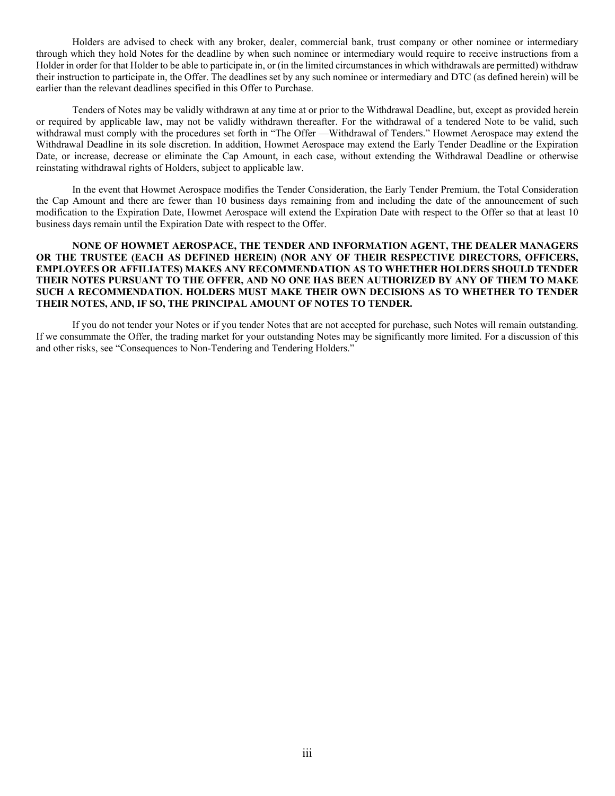Holders are advised to check with any broker, dealer, commercial bank, trust company or other nominee or intermediary through which they hold Notes for the deadline by when such nominee or intermediary would require to receive instructions from a Holder in order for that Holder to be able to participate in, or (in the limited circumstances in which withdrawals are permitted) withdraw their instruction to participate in, the Offer. The deadlines set by any such nominee or intermediary and DTC (as defined herein) will be earlier than the relevant deadlines specified in this Offer to Purchase.

Tenders of Notes may be validly withdrawn at any time at or prior to the Withdrawal Deadline, but, except as provided herein or required by applicable law, may not be validly withdrawn thereafter. For the withdrawal of a tendered Note to be valid, such withdrawal must comply with the procedures set forth in "The Offer —Withdrawal of Tenders." Howmet Aerospace may extend the Withdrawal Deadline in its sole discretion. In addition, Howmet Aerospace may extend the Early Tender Deadline or the Expiration Date, or increase, decrease or eliminate the Cap Amount, in each case, without extending the Withdrawal Deadline or otherwise reinstating withdrawal rights of Holders, subject to applicable law.

In the event that Howmet Aerospace modifies the Tender Consideration, the Early Tender Premium, the Total Consideration the Cap Amount and there are fewer than 10 business days remaining from and including the date of the announcement of such modification to the Expiration Date, Howmet Aerospace will extend the Expiration Date with respect to the Offer so that at least 10 business days remain until the Expiration Date with respect to the Offer.

## **NONE OF HOWMET AEROSPACE, THE TENDER AND INFORMATION AGENT, THE DEALER MANAGERS OR THE TRUSTEE (EACH AS DEFINED HEREIN) (NOR ANY OF THEIR RESPECTIVE DIRECTORS, OFFICERS, EMPLOYEES OR AFFILIATES) MAKES ANY RECOMMENDATION AS TO WHETHER HOLDERS SHOULD TENDER THEIR NOTES PURSUANT TO THE OFFER, AND NO ONE HAS BEEN AUTHORIZED BY ANY OF THEM TO MAKE SUCH A RECOMMENDATION. HOLDERS MUST MAKE THEIR OWN DECISIONS AS TO WHETHER TO TENDER THEIR NOTES, AND, IF SO, THE PRINCIPAL AMOUNT OF NOTES TO TENDER.**

If you do not tender your Notes or if you tender Notes that are not accepted for purchase, such Notes will remain outstanding. If we consummate the Offer, the trading market for your outstanding Notes may be significantly more limited. For a discussion of this and other risks, see "Consequences to Non-Tendering and Tendering Holders."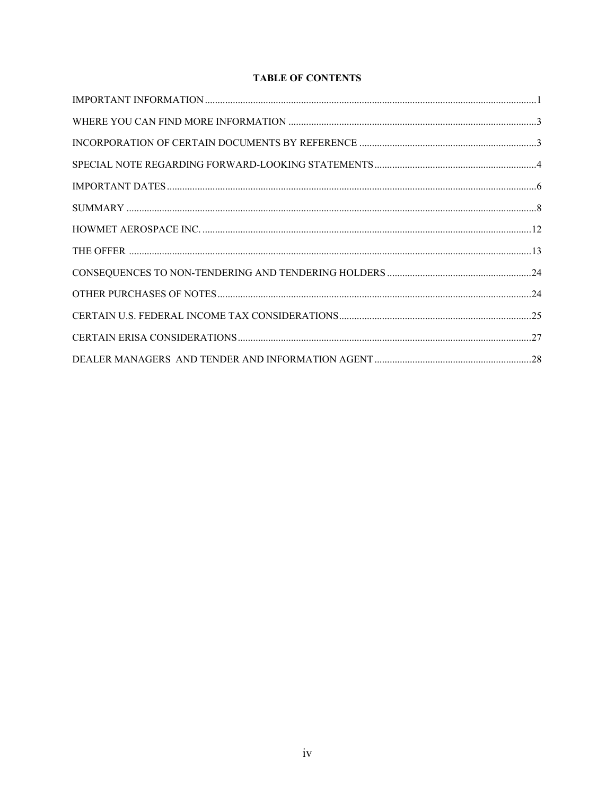## **TABLE OF CONTENTS**

| $\label{thm:main} \hbox{WHERE YOU CAN FIND MORE INFORMATION} \,\, \ldots \,\, \ldots \,\, \ldots \,\, \ldots \,\, \ldots \,\, \ldots \,\, \ldots \,\, \ldots \,\, \ldots \,\, \ldots \,\, \ldots \,\, \ldots \,\, \ldots \,\, \ldots \,\, \ldots \,\, \ldots \,\, \ldots \,\, \ldots \,\, \ldots \,\, \ldots \,\, \ldots \,\, \ldots \,\, \ldots \,\, \ldots \,\, \ldots \,\, \ldots \,\, \ldots \,\, \ldots \,\, \ldots \,\, \ldots \,\, \ldots \,\, \ldots \,\, \ldots \,\$ |  |
|-------------------------------------------------------------------------------------------------------------------------------------------------------------------------------------------------------------------------------------------------------------------------------------------------------------------------------------------------------------------------------------------------------------------------------------------------------------------------------|--|
|                                                                                                                                                                                                                                                                                                                                                                                                                                                                               |  |
|                                                                                                                                                                                                                                                                                                                                                                                                                                                                               |  |
|                                                                                                                                                                                                                                                                                                                                                                                                                                                                               |  |
|                                                                                                                                                                                                                                                                                                                                                                                                                                                                               |  |
|                                                                                                                                                                                                                                                                                                                                                                                                                                                                               |  |
|                                                                                                                                                                                                                                                                                                                                                                                                                                                                               |  |
|                                                                                                                                                                                                                                                                                                                                                                                                                                                                               |  |
|                                                                                                                                                                                                                                                                                                                                                                                                                                                                               |  |
|                                                                                                                                                                                                                                                                                                                                                                                                                                                                               |  |
|                                                                                                                                                                                                                                                                                                                                                                                                                                                                               |  |
|                                                                                                                                                                                                                                                                                                                                                                                                                                                                               |  |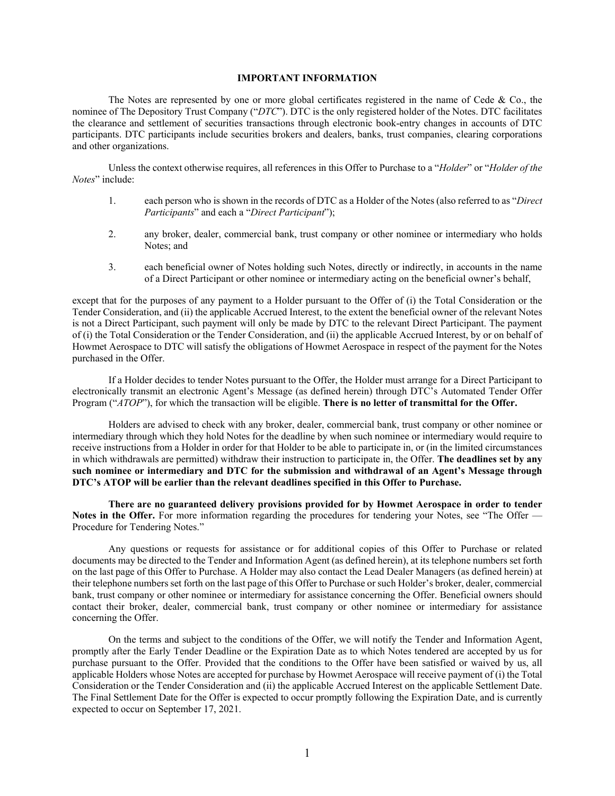## **IMPORTANT INFORMATION**

<span id="page-4-0"></span>The Notes are represented by one or more global certificates registered in the name of Cede & Co., the nominee of The Depository Trust Company ("*DTC*"). DTC is the only registered holder of the Notes. DTC facilitates the clearance and settlement of securities transactions through electronic book-entry changes in accounts of DTC participants. DTC participants include securities brokers and dealers, banks, trust companies, clearing corporations and other organizations.

Unless the context otherwise requires, all references in this Offer to Purchase to a "*Holder*" or "*Holder of the Notes*" include:

- 1. each person who is shown in the records of DTC as a Holder of the Notes (also referred to as "*Direct Participants*" and each a "*Direct Participant*");
- 2. any broker, dealer, commercial bank, trust company or other nominee or intermediary who holds Notes; and
- 3. each beneficial owner of Notes holding such Notes, directly or indirectly, in accounts in the name of a Direct Participant or other nominee or intermediary acting on the beneficial owner's behalf,

except that for the purposes of any payment to a Holder pursuant to the Offer of (i) the Total Consideration or the Tender Consideration, and (ii) the applicable Accrued Interest, to the extent the beneficial owner of the relevant Notes is not a Direct Participant, such payment will only be made by DTC to the relevant Direct Participant. The payment of (i) the Total Consideration or the Tender Consideration, and (ii) the applicable Accrued Interest, by or on behalf of Howmet Aerospace to DTC will satisfy the obligations of Howmet Aerospace in respect of the payment for the Notes purchased in the Offer.

If a Holder decides to tender Notes pursuant to the Offer, the Holder must arrange for a Direct Participant to electronically transmit an electronic Agent's Message (as defined herein) through DTC's Automated Tender Offer Program ("*ATOP*"), for which the transaction will be eligible. **There is no letter of transmittal for the Offer.**

Holders are advised to check with any broker, dealer, commercial bank, trust company or other nominee or intermediary through which they hold Notes for the deadline by when such nominee or intermediary would require to receive instructions from a Holder in order for that Holder to be able to participate in, or (in the limited circumstances in which withdrawals are permitted) withdraw their instruction to participate in, the Offer. **The deadlines set by any such nominee or intermediary and DTC for the submission and withdrawal of an Agent's Message through DTC's ATOP will be earlier than the relevant deadlines specified in this Offer to Purchase.**

**There are no guaranteed delivery provisions provided for by Howmet Aerospace in order to tender Notes in the Offer.** For more information regarding the procedures for tendering your Notes, see "The Offer — Procedure for Tendering Notes."

Any questions or requests for assistance or for additional copies of this Offer to Purchase or related documents may be directed to the Tender and Information Agent (as defined herein), at its telephone numbers set forth on the last page of this Offer to Purchase. A Holder may also contact the Lead Dealer Managers (as defined herein) at their telephone numbers set forth on the last page of this Offer to Purchase or such Holder's broker, dealer, commercial bank, trust company or other nominee or intermediary for assistance concerning the Offer. Beneficial owners should contact their broker, dealer, commercial bank, trust company or other nominee or intermediary for assistance concerning the Offer.

On the terms and subject to the conditions of the Offer, we will notify the Tender and Information Agent, promptly after the Early Tender Deadline or the Expiration Date as to which Notes tendered are accepted by us for purchase pursuant to the Offer. Provided that the conditions to the Offer have been satisfied or waived by us, all applicable Holders whose Notes are accepted for purchase by Howmet Aerospace will receive payment of (i) the Total Consideration or the Tender Consideration and (ii) the applicable Accrued Interest on the applicable Settlement Date. The Final Settlement Date for the Offer is expected to occur promptly following the Expiration Date, and is currently expected to occur on September 17, 2021.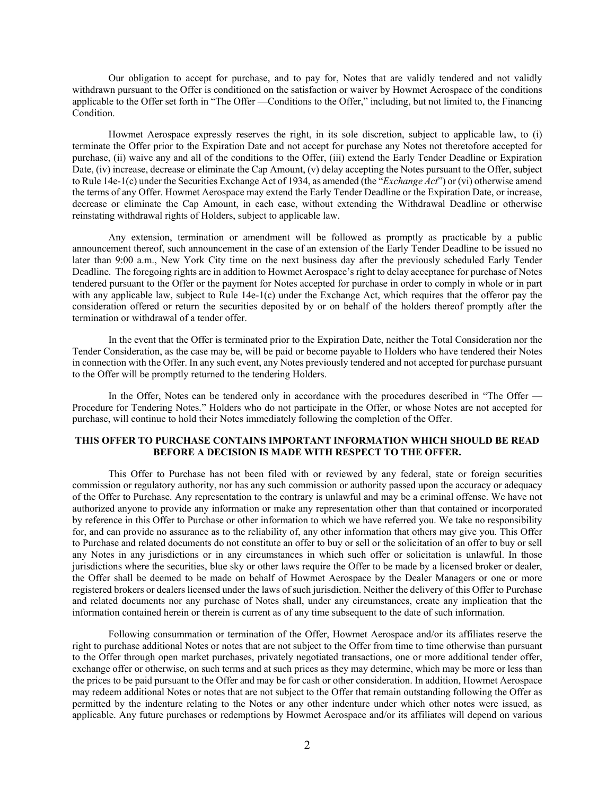Our obligation to accept for purchase, and to pay for, Notes that are validly tendered and not validly withdrawn pursuant to the Offer is conditioned on the satisfaction or waiver by Howmet Aerospace of the conditions applicable to the Offer set forth in "The Offer —Conditions to the Offer," including, but not limited to, the Financing **Condition** 

Howmet Aerospace expressly reserves the right, in its sole discretion, subject to applicable law, to (i) terminate the Offer prior to the Expiration Date and not accept for purchase any Notes not theretofore accepted for purchase, (ii) waive any and all of the conditions to the Offer, (iii) extend the Early Tender Deadline or Expiration Date, (iv) increase, decrease or eliminate the Cap Amount, (v) delay accepting the Notes pursuant to the Offer, subject to Rule 14e-1(c) under the Securities Exchange Act of 1934, as amended (the "*Exchange Act*") or (vi) otherwise amend the terms of any Offer. Howmet Aerospace may extend the Early Tender Deadline or the Expiration Date, or increase, decrease or eliminate the Cap Amount, in each case, without extending the Withdrawal Deadline or otherwise reinstating withdrawal rights of Holders, subject to applicable law.

Any extension, termination or amendment will be followed as promptly as practicable by a public announcement thereof, such announcement in the case of an extension of the Early Tender Deadline to be issued no later than 9:00 a.m., New York City time on the next business day after the previously scheduled Early Tender Deadline. The foregoing rights are in addition to Howmet Aerospace's right to delay acceptance for purchase of Notes tendered pursuant to the Offer or the payment for Notes accepted for purchase in order to comply in whole or in part with any applicable law, subject to Rule 14e-1(c) under the Exchange Act, which requires that the offeror pay the consideration offered or return the securities deposited by or on behalf of the holders thereof promptly after the termination or withdrawal of a tender offer.

In the event that the Offer is terminated prior to the Expiration Date, neither the Total Consideration nor the Tender Consideration, as the case may be, will be paid or become payable to Holders who have tendered their Notes in connection with the Offer. In any such event, any Notes previously tendered and not accepted for purchase pursuant to the Offer will be promptly returned to the tendering Holders.

In the Offer, Notes can be tendered only in accordance with the procedures described in "The Offer — Procedure for Tendering Notes." Holders who do not participate in the Offer, or whose Notes are not accepted for purchase, will continue to hold their Notes immediately following the completion of the Offer.

## **THIS OFFER TO PURCHASE CONTAINS IMPORTANT INFORMATION WHICH SHOULD BE READ BEFORE A DECISION IS MADE WITH RESPECT TO THE OFFER.**

This Offer to Purchase has not been filed with or reviewed by any federal, state or foreign securities commission or regulatory authority, nor has any such commission or authority passed upon the accuracy or adequacy of the Offer to Purchase. Any representation to the contrary is unlawful and may be a criminal offense. We have not authorized anyone to provide any information or make any representation other than that contained or incorporated by reference in this Offer to Purchase or other information to which we have referred you. We take no responsibility for, and can provide no assurance as to the reliability of, any other information that others may give you. This Offer to Purchase and related documents do not constitute an offer to buy or sell or the solicitation of an offer to buy or sell any Notes in any jurisdictions or in any circumstances in which such offer or solicitation is unlawful. In those jurisdictions where the securities, blue sky or other laws require the Offer to be made by a licensed broker or dealer, the Offer shall be deemed to be made on behalf of Howmet Aerospace by the Dealer Managers or one or more registered brokers or dealers licensed under the laws of such jurisdiction. Neither the delivery of this Offer to Purchase and related documents nor any purchase of Notes shall, under any circumstances, create any implication that the information contained herein or therein is current as of any time subsequent to the date of such information.

Following consummation or termination of the Offer, Howmet Aerospace and/or its affiliates reserve the right to purchase additional Notes or notes that are not subject to the Offer from time to time otherwise than pursuant to the Offer through open market purchases, privately negotiated transactions, one or more additional tender offer, exchange offer or otherwise, on such terms and at such prices as they may determine, which may be more or less than the prices to be paid pursuant to the Offer and may be for cash or other consideration. In addition, Howmet Aerospace may redeem additional Notes or notes that are not subject to the Offer that remain outstanding following the Offer as permitted by the indenture relating to the Notes or any other indenture under which other notes were issued, as applicable. Any future purchases or redemptions by Howmet Aerospace and/or its affiliates will depend on various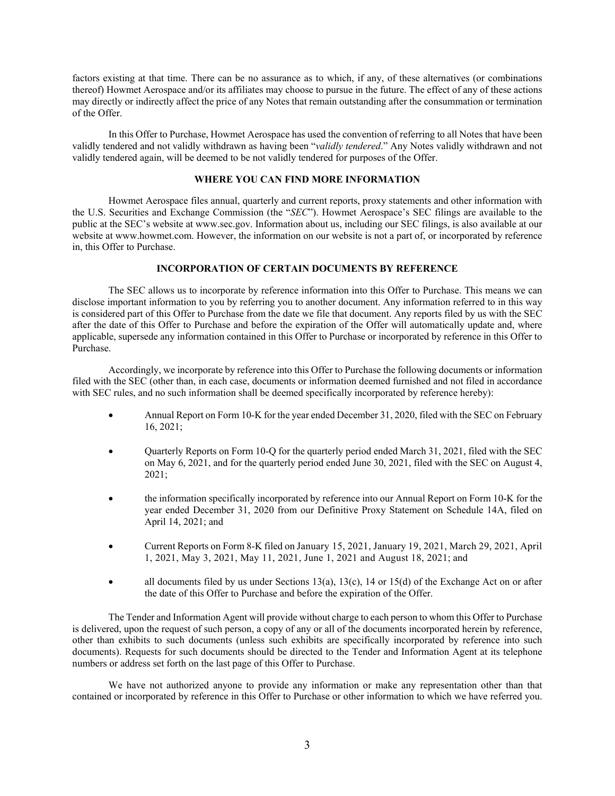factors existing at that time. There can be no assurance as to which, if any, of these alternatives (or combinations thereof) Howmet Aerospace and/or its affiliates may choose to pursue in the future. The effect of any of these actions may directly or indirectly affect the price of any Notes that remain outstanding after the consummation or termination of the Offer.

In this Offer to Purchase, Howmet Aerospace has used the convention of referring to all Notes that have been validly tendered and not validly withdrawn as having been "*validly tendered*." Any Notes validly withdrawn and not validly tendered again, will be deemed to be not validly tendered for purposes of the Offer.

## **WHERE YOU CAN FIND MORE INFORMATION**

<span id="page-6-0"></span>Howmet Aerospace files annual, quarterly and current reports, proxy statements and other information with the U.S. Securities and Exchange Commission (the "*SEC*"). Howmet Aerospace's SEC filings are available to the public at the SEC's website at [www.sec.gov.](http://www.sec.gov/) Information about us, including our SEC filings, is also available at our website at www.howmet.com. However, the information on our website is not a part of, or incorporated by reference in, this Offer to Purchase.

## **INCORPORATION OF CERTAIN DOCUMENTS BY REFERENCE**

<span id="page-6-1"></span>The SEC allows us to incorporate by reference information into this Offer to Purchase. This means we can disclose important information to you by referring you to another document. Any information referred to in this way is considered part of this Offer to Purchase from the date we file that document. Any reports filed by us with the SEC after the date of this Offer to Purchase and before the expiration of the Offer will automatically update and, where applicable, supersede any information contained in this Offer to Purchase or incorporated by reference in this Offer to Purchase.

Accordingly, we incorporate by reference into this Offer to Purchase the following documents or information filed with the SEC (other than, in each case, documents or information deemed furnished and not filed in accordance with SEC rules, and no such information shall be deemed specifically incorporated by reference hereby):

- Annual Report on Form 10-K for the year ended December 31, 2020, filed with the SEC on February 16, 2021;
- Quarterly Reports on Form 10-Q for the quarterly period ended March 31, 2021, filed with the SEC on May 6, 2021, and for the quarterly period ended June 30, 2021, filed with the SEC on August 4, 2021;
- the information specifically incorporated by reference into our Annual Report on Form 10-K for the year ended December 31, 2020 from our Definitive Proxy Statement on Schedule 14A, filed on April 14, 2021; and
- Current Reports on Form 8-K filed on January 15, 2021, January 19, 2021, March 29, 2021, April 1, 2021, May 3, 2021, May 11, 2021, June 1, 2021 and August 18, 2021; and
- all documents filed by us under Sections 13(a), 13(c), 14 or 15(d) of the Exchange Act on or after the date of this Offer to Purchase and before the expiration of the Offer.

The Tender and Information Agent will provide without charge to each person to whom this Offer to Purchase is delivered, upon the request of such person, a copy of any or all of the documents incorporated herein by reference, other than exhibits to such documents (unless such exhibits are specifically incorporated by reference into such documents). Requests for such documents should be directed to the Tender and Information Agent at its telephone numbers or address set forth on the last page of this Offer to Purchase.

We have not authorized anyone to provide any information or make any representation other than that contained or incorporated by reference in this Offer to Purchase or other information to which we have referred you.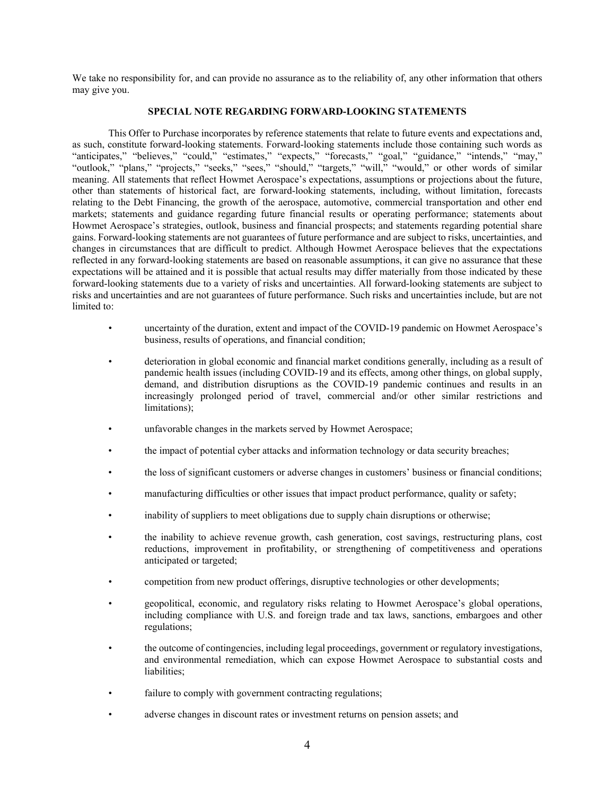We take no responsibility for, and can provide no assurance as to the reliability of, any other information that others may give you.

## **SPECIAL NOTE REGARDING FORWARD-LOOKING STATEMENTS**

<span id="page-7-0"></span>This Offer to Purchase incorporates by reference statements that relate to future events and expectations and, as such, constitute forward-looking statements. Forward-looking statements include those containing such words as "anticipates," "believes," "could," "estimates," "expects," "forecasts," "goal," "guidance," "intends," "may," "outlook," "plans," "projects," "seeks," "sees," "should," "targets," "will," "would," or other words of similar meaning. All statements that reflect Howmet Aerospace's expectations, assumptions or projections about the future, other than statements of historical fact, are forward-looking statements, including, without limitation, forecasts relating to the Debt Financing, the growth of the aerospace, automotive, commercial transportation and other end markets; statements and guidance regarding future financial results or operating performance; statements about Howmet Aerospace's strategies, outlook, business and financial prospects; and statements regarding potential share gains. Forward-looking statements are not guarantees of future performance and are subject to risks, uncertainties, and changes in circumstances that are difficult to predict. Although Howmet Aerospace believes that the expectations reflected in any forward-looking statements are based on reasonable assumptions, it can give no assurance that these expectations will be attained and it is possible that actual results may differ materially from those indicated by these forward-looking statements due to a variety of risks and uncertainties. All forward-looking statements are subject to risks and uncertainties and are not guarantees of future performance. Such risks and uncertainties include, but are not limited to:

- uncertainty of the duration, extent and impact of the COVID-19 pandemic on Howmet Aerospace's business, results of operations, and financial condition;
- deterioration in global economic and financial market conditions generally, including as a result of pandemic health issues (including COVID-19 and its effects, among other things, on global supply, demand, and distribution disruptions as the COVID-19 pandemic continues and results in an increasingly prolonged period of travel, commercial and/or other similar restrictions and limitations);
- unfavorable changes in the markets served by Howmet Aerospace;
- the impact of potential cyber attacks and information technology or data security breaches;
- the loss of significant customers or adverse changes in customers' business or financial conditions;
- manufacturing difficulties or other issues that impact product performance, quality or safety;
- inability of suppliers to meet obligations due to supply chain disruptions or otherwise;
- the inability to achieve revenue growth, cash generation, cost savings, restructuring plans, cost reductions, improvement in profitability, or strengthening of competitiveness and operations anticipated or targeted;
- competition from new product offerings, disruptive technologies or other developments;
- geopolitical, economic, and regulatory risks relating to Howmet Aerospace's global operations, including compliance with U.S. and foreign trade and tax laws, sanctions, embargoes and other regulations;
- the outcome of contingencies, including legal proceedings, government or regulatory investigations, and environmental remediation, which can expose Howmet Aerospace to substantial costs and liabilities;
- failure to comply with government contracting regulations;
- adverse changes in discount rates or investment returns on pension assets; and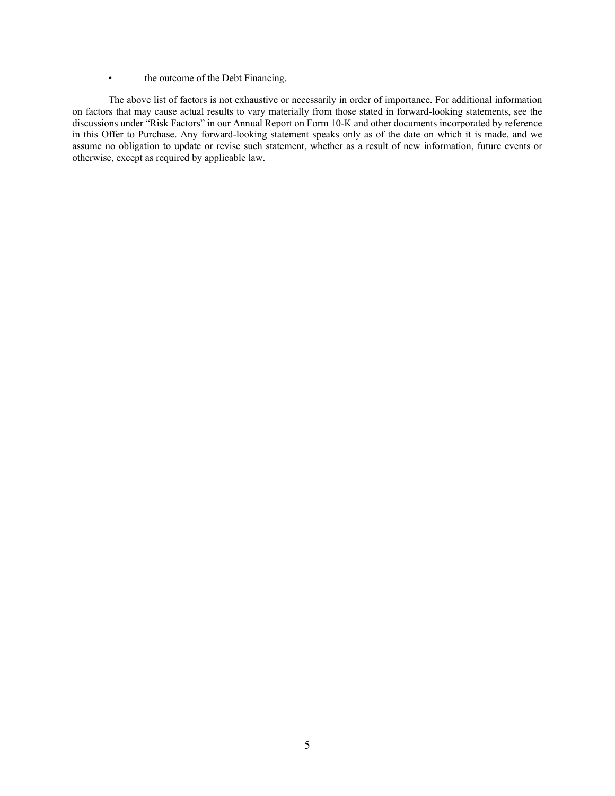• the outcome of the Debt Financing.

The above list of factors is not exhaustive or necessarily in order of importance. For additional information on factors that may cause actual results to vary materially from those stated in forward-looking statements, see the discussions under "Risk Factors" in our Annual Report on Form 10-K and other documents incorporated by reference in this Offer to Purchase. Any forward-looking statement speaks only as of the date on which it is made, and we assume no obligation to update or revise such statement, whether as a result of new information, future events or otherwise, except as required by applicable law.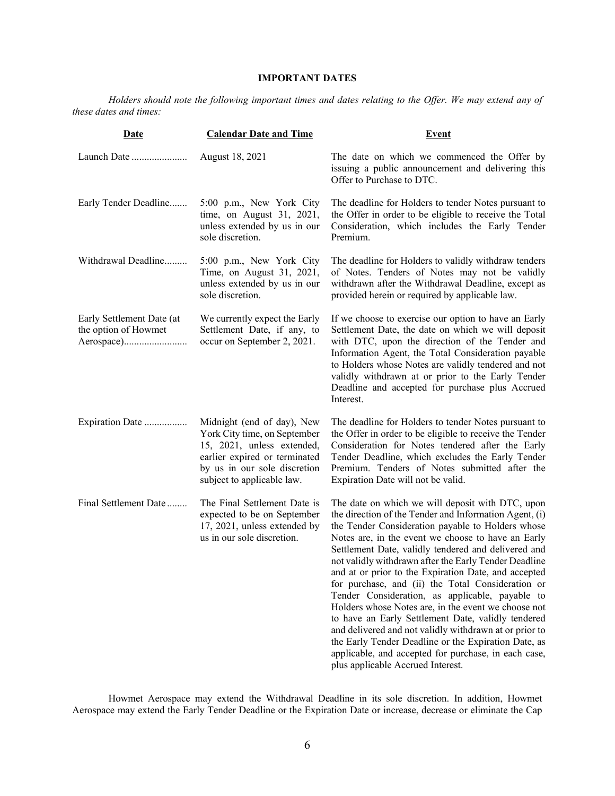## **IMPORTANT DATES**

<span id="page-9-0"></span>*Holders should note the following important times and dates relating to the Offer. We may extend any of these dates and times:*

| <b>Date</b>                                                     | <b>Calendar Date and Time</b>                                                                                                                                                           | <b>Event</b>                                                                                                                                                                                                                                                                                                                                                                                                                                                                                                                                                                                                                                                                                                                                                                                                                      |  |  |
|-----------------------------------------------------------------|-----------------------------------------------------------------------------------------------------------------------------------------------------------------------------------------|-----------------------------------------------------------------------------------------------------------------------------------------------------------------------------------------------------------------------------------------------------------------------------------------------------------------------------------------------------------------------------------------------------------------------------------------------------------------------------------------------------------------------------------------------------------------------------------------------------------------------------------------------------------------------------------------------------------------------------------------------------------------------------------------------------------------------------------|--|--|
| Launch Date                                                     | August 18, 2021                                                                                                                                                                         | The date on which we commenced the Offer by<br>issuing a public announcement and delivering this<br>Offer to Purchase to DTC.                                                                                                                                                                                                                                                                                                                                                                                                                                                                                                                                                                                                                                                                                                     |  |  |
| Early Tender Deadline                                           | 5:00 p.m., New York City<br>time, on August 31, 2021,<br>unless extended by us in our<br>sole discretion.                                                                               | The deadline for Holders to tender Notes pursuant to<br>the Offer in order to be eligible to receive the Total<br>Consideration, which includes the Early Tender<br>Premium.                                                                                                                                                                                                                                                                                                                                                                                                                                                                                                                                                                                                                                                      |  |  |
| Withdrawal Deadline                                             | 5:00 p.m., New York City<br>Time, on August 31, 2021,<br>unless extended by us in our<br>sole discretion.                                                                               | The deadline for Holders to validly withdraw tenders<br>of Notes. Tenders of Notes may not be validly<br>withdrawn after the Withdrawal Deadline, except as<br>provided herein or required by applicable law.                                                                                                                                                                                                                                                                                                                                                                                                                                                                                                                                                                                                                     |  |  |
| Early Settlement Date (at<br>the option of Howmet<br>Aerospace) | We currently expect the Early<br>Settlement Date, if any, to<br>occur on September 2, 2021.                                                                                             | If we choose to exercise our option to have an Early<br>Settlement Date, the date on which we will deposit<br>with DTC, upon the direction of the Tender and<br>Information Agent, the Total Consideration payable<br>to Holders whose Notes are validly tendered and not<br>validly withdrawn at or prior to the Early Tender<br>Deadline and accepted for purchase plus Accrued<br>Interest.                                                                                                                                                                                                                                                                                                                                                                                                                                    |  |  |
| Expiration Date                                                 | Midnight (end of day), New<br>York City time, on September<br>15, 2021, unless extended,<br>earlier expired or terminated<br>by us in our sole discretion<br>subject to applicable law. | The deadline for Holders to tender Notes pursuant to<br>the Offer in order to be eligible to receive the Tender<br>Consideration for Notes tendered after the Early<br>Tender Deadline, which excludes the Early Tender<br>Premium. Tenders of Notes submitted after the<br>Expiration Date will not be valid.                                                                                                                                                                                                                                                                                                                                                                                                                                                                                                                    |  |  |
| Final Settlement Date                                           | The Final Settlement Date is<br>expected to be on September<br>17, 2021, unless extended by<br>us in our sole discretion.                                                               | The date on which we will deposit with DTC, upon<br>the direction of the Tender and Information Agent, (i)<br>the Tender Consideration payable to Holders whose<br>Notes are, in the event we choose to have an Early<br>Settlement Date, validly tendered and delivered and<br>not validly withdrawn after the Early Tender Deadline<br>and at or prior to the Expiration Date, and accepted<br>for purchase, and (ii) the Total Consideration or<br>Tender Consideration, as applicable, payable to<br>Holders whose Notes are, in the event we choose not<br>to have an Early Settlement Date, validly tendered<br>and delivered and not validly withdrawn at or prior to<br>the Early Tender Deadline or the Expiration Date, as<br>applicable, and accepted for purchase, in each case,<br>plus applicable Accrued Interest. |  |  |

Howmet Aerospace may extend the Withdrawal Deadline in its sole discretion. In addition, Howmet Aerospace may extend the Early Tender Deadline or the Expiration Date or increase, decrease or eliminate the Cap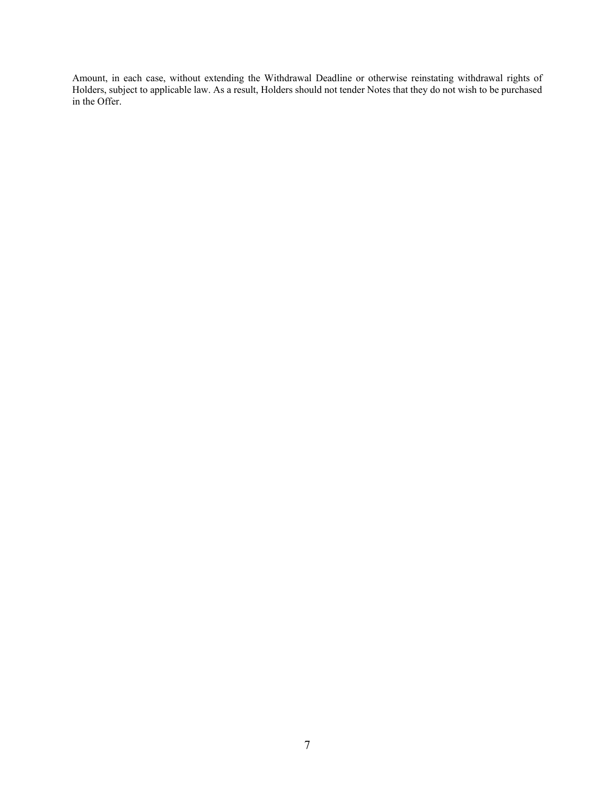Amount, in each case, without extending the Withdrawal Deadline or otherwise reinstating withdrawal rights of Holders, subject to applicable law. As a result, Holders should not tender Notes that they do not wish to be purchased in the Offer.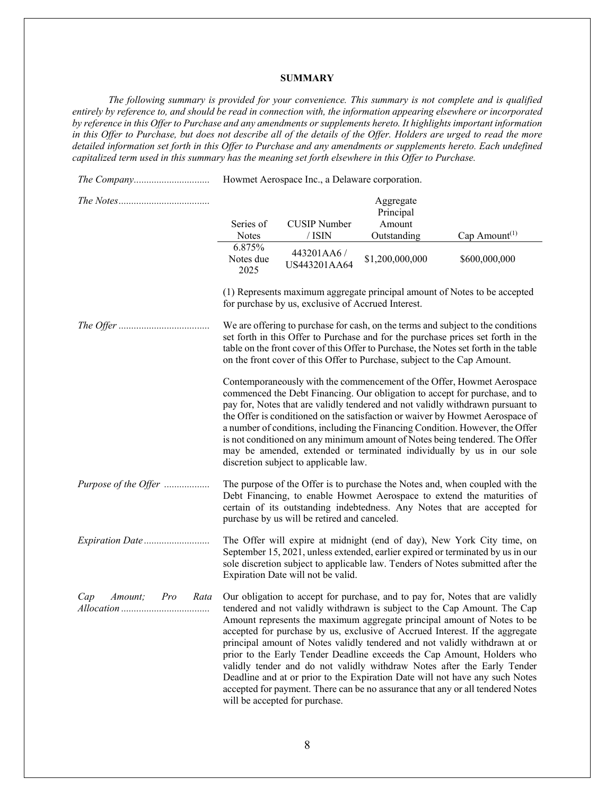## **SUMMARY**

<span id="page-11-0"></span>*The following summary is provided for your convenience. This summary is not complete and is qualified entirely by reference to, and should be read in connection with, the information appearing elsewhere or incorporated by reference in this Offer to Purchase and any amendments or supplements hereto. It highlights important information in this Offer to Purchase, but does not describe all of the details of the Offer. Holders are urged to read the more detailed information set forth in this Offer to Purchase and any amendments or supplements hereto. Each undefined capitalized term used in this summary has the meaning set forth elsewhere in this Offer to Purchase.*

*The Company..............................* Howmet Aerospace Inc., a Delaware corporation. *The Notes....................................* Series of Notes CUSIP Number / ISIN Aggregate Principal Amount Outstanding Cap Amount<sup>(1)</sup> 6.875% Notes due 2025 443201AA6 / US443201AA64 \$1,200,000,000 \$600,000,000 (1) Represents maximum aggregate principal amount of Notes to be accepted for purchase by us, exclusive of Accrued Interest. *The Offer ....................................* We are offering to purchase for cash, on the terms and subject to the conditions set forth in this Offer to Purchase and for the purchase prices set forth in the table on the front cover of this Offer to Purchase, the Notes set forth in the table on the front cover of this Offer to Purchase, subject to the Cap Amount. Contemporaneously with the commencement of the Offer, Howmet Aerospace commenced the Debt Financing. Our obligation to accept for purchase, and to pay for, Notes that are validly tendered and not validly withdrawn pursuant to the Offer is conditioned on the satisfaction or waiver by Howmet Aerospace of a number of conditions, including the Financing Condition. However, the Offer is not conditioned on any minimum amount of Notes being tendered. The Offer may be amended, extended or terminated individually by us in our sole discretion subject to applicable law. *Purpose of the Offer ..................* The purpose of the Offer is to purchase the Notes and, when coupled with the Debt Financing, to enable Howmet Aerospace to extend the maturities of certain of its outstanding indebtedness. Any Notes that are accepted for purchase by us will be retired and canceled. *Expiration Date ..........................* The Offer will expire at midnight (end of day), New York City time, on September 15, 2021, unless extended, earlier expired or terminated by us in our sole discretion subject to applicable law. Tenders of Notes submitted after the Expiration Date will not be valid. *Cap Amount; Pro Rata Allocation ...................................* Our obligation to accept for purchase, and to pay for, Notes that are validly tendered and not validly withdrawn is subject to the Cap Amount. The Cap Amount represents the maximum aggregate principal amount of Notes to be accepted for purchase by us, exclusive of Accrued Interest. If the aggregate principal amount of Notes validly tendered and not validly withdrawn at or prior to the Early Tender Deadline exceeds the Cap Amount, Holders who validly tender and do not validly withdraw Notes after the Early Tender Deadline and at or prior to the Expiration Date will not have any such Notes accepted for payment. There can be no assurance that any or all tendered Notes will be accepted for purchase.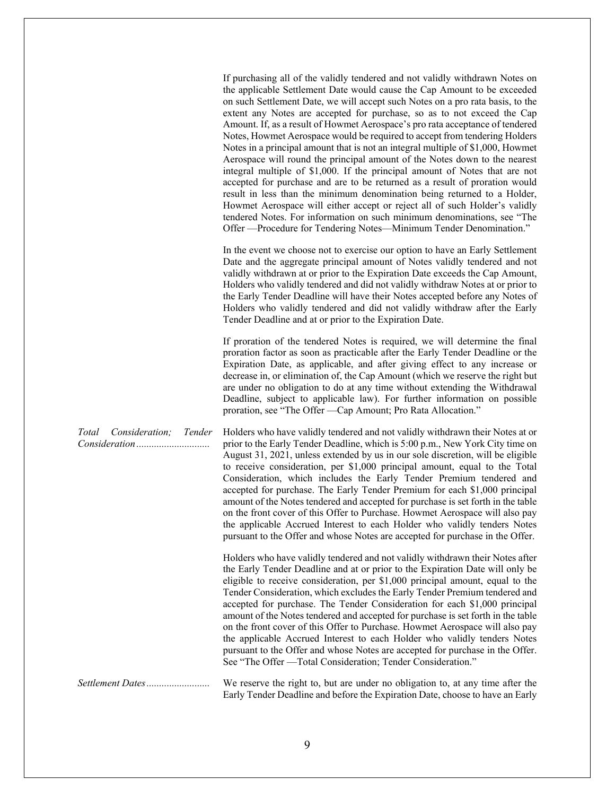If purchasing all of the validly tendered and not validly withdrawn Notes on the applicable Settlement Date would cause the Cap Amount to be exceeded on such Settlement Date, we will accept such Notes on a pro rata basis, to the extent any Notes are accepted for purchase, so as to not exceed the Cap Amount. If, as a result of Howmet Aerospace's pro rata acceptance of tendered Notes, Howmet Aerospace would be required to accept from tendering Holders Notes in a principal amount that is not an integral multiple of \$1,000, Howmet Aerospace will round the principal amount of the Notes down to the nearest integral multiple of \$1,000. If the principal amount of Notes that are not accepted for purchase and are to be returned as a result of proration would result in less than the minimum denomination being returned to a Holder, Howmet Aerospace will either accept or reject all of such Holder's validly tendered Notes. For information on such minimum denominations, see "The Offer —Procedure for Tendering Notes—Minimum Tender Denomination."

In the event we choose not to exercise our option to have an Early Settlement Date and the aggregate principal amount of Notes validly tendered and not validly withdrawn at or prior to the Expiration Date exceeds the Cap Amount, Holders who validly tendered and did not validly withdraw Notes at or prior to the Early Tender Deadline will have their Notes accepted before any Notes of Holders who validly tendered and did not validly withdraw after the Early Tender Deadline and at or prior to the Expiration Date.

If proration of the tendered Notes is required, we will determine the final proration factor as soon as practicable after the Early Tender Deadline or the Expiration Date, as applicable, and after giving effect to any increase or decrease in, or elimination of, the Cap Amount (which we reserve the right but are under no obligation to do at any time without extending the Withdrawal Deadline, subject to applicable law). For further information on possible proration, see "The Offer —Cap Amount; Pro Rata Allocation."

Holders who have validly tendered and not validly withdrawn their Notes at or prior to the Early Tender Deadline, which is 5:00 p.m., New York City time on August 31, 2021, unless extended by us in our sole discretion, will be eligible to receive consideration, per \$1,000 principal amount, equal to the Total Consideration, which includes the Early Tender Premium tendered and accepted for purchase. The Early Tender Premium for each \$1,000 principal amount of the Notes tendered and accepted for purchase is set forth in the table on the front cover of this Offer to Purchase. Howmet Aerospace will also pay the applicable Accrued Interest to each Holder who validly tenders Notes pursuant to the Offer and whose Notes are accepted for purchase in the Offer.

> Holders who have validly tendered and not validly withdrawn their Notes after the Early Tender Deadline and at or prior to the Expiration Date will only be eligible to receive consideration, per \$1,000 principal amount, equal to the Tender Consideration, which excludes the Early Tender Premium tendered and accepted for purchase. The Tender Consideration for each \$1,000 principal amount of the Notes tendered and accepted for purchase is set forth in the table on the front cover of this Offer to Purchase. Howmet Aerospace will also pay the applicable Accrued Interest to each Holder who validly tenders Notes pursuant to the Offer and whose Notes are accepted for purchase in the Offer. See "The Offer —Total Consideration; Tender Consideration."

*Settlement Dates.........................* We reserve the right to, but are under no obligation to, at any time after the Early Tender Deadline and before the Expiration Date, choose to have an Early

*Total Consideration; Tender Consideration .............................*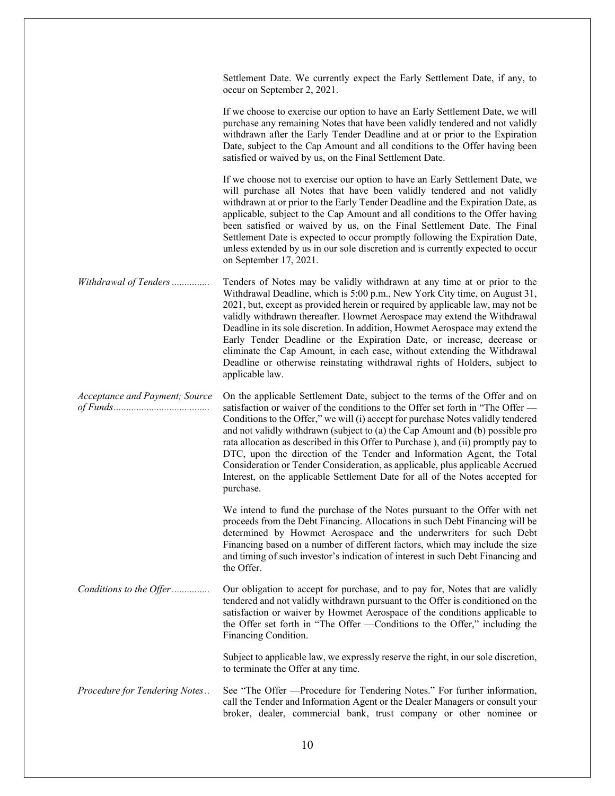Settlement Date. We currently expect the Early Settlement Date, if any, to occur on September 2, 2021.

If we choose to exercise our option to have an Early Settlement Date, we will purchase any remaining Notes that have been validly tendered and not validly withdrawn after the Early Tender Deadline and at or prior to the Expiration Date, subject to the Cap Amount and all conditions to the Offer having been satisfied or waived by us, on the Final Settlement Date.

If we choose not to exercise our option to have an Early Settlement Date, we will purchase all Notes that have been validly tendered and not validly withdrawn at or prior to the Early Tender Deadline and the Expiration Date, as applicable, subject to the Cap Amount and all conditions to the Offer having been satisfied or waived by us, on the Final Settlement Date. The Final Settlement Date is expected to occur promptly following the Expiration Date, unless extended by us in our sole discretion and is currently expected to occur on September 17, 2021.

*Withdrawal of Tenders...............* Tenders of Notes may be validly withdrawn at any time at or prior to the Withdrawal Deadline, which is 5:00 p.m., New York City time, on August 31, 2021, but, except as provided herein or required by applicable law, may not be validly withdrawn thereafter. Howmet Aerospace may extend the Withdrawal Deadline in its sole discretion. In addition, Howmet Aerospace may extend the Early Tender Deadline or the Expiration Date, or increase, decrease or eliminate the Cap Amount, in each case, without extending the Withdrawal Deadline or otherwise reinstating withdrawal rights of Holders, subject to applicable law.

*Acceptance and Payment; Source of Funds......................................* On the applicable Settlement Date, subject to the terms of the Offer and on satisfaction or waiver of the conditions to the Offer set forth in "The Offer — Conditions to the Offer," we will (i) accept for purchase Notes validly tendered and not validly withdrawn (subject to (a) the Cap Amount and (b) possible pro rata allocation as described in this Offer to Purchase ), and (ii) promptly pay to DTC, upon the direction of the Tender and Information Agent, the Total Consideration or Tender Consideration, as applicable, plus applicable Accrued Interest, on the applicable Settlement Date for all of the Notes accepted for purchase.

> We intend to fund the purchase of the Notes pursuant to the Offer with net proceeds from the Debt Financing. Allocations in such Debt Financing will be determined by Howmet Aerospace and the underwriters for such Debt Financing based on a number of different factors, which may include the size and timing of such investor's indication of interest in such Debt Financing and the Offer.

*Conditions to the Offer...............* Our obligation to accept for purchase, and to pay for, Notes that are validly tendered and not validly withdrawn pursuant to the Offer is conditioned on the satisfaction or waiver by Howmet Aerospace of the conditions applicable to the Offer set forth in "The Offer —Conditions to the Offer," including the Financing Condition.

> Subject to applicable law, we expressly reserve the right, in our sole discretion, to terminate the Offer at any time.

*Procedure for Tendering Notes..* See "The Offer —Procedure for Tendering Notes." For further information, call the Tender and Information Agent or the Dealer Managers or consult your broker, dealer, commercial bank, trust company or other nominee or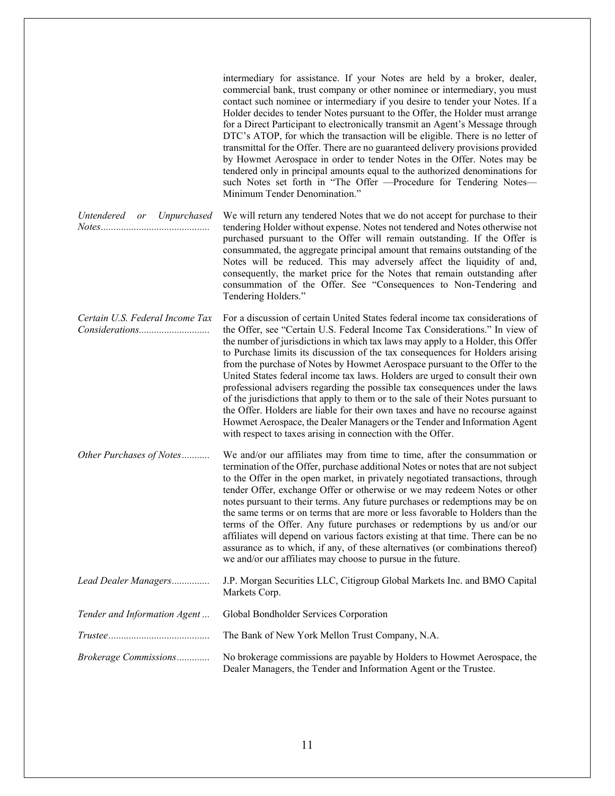|                                              | intermediary for assistance. If your Notes are held by a broker, dealer,<br>commercial bank, trust company or other nominee or intermediary, you must<br>contact such nominee or intermediary if you desire to tender your Notes. If a<br>Holder decides to tender Notes pursuant to the Offer, the Holder must arrange<br>for a Direct Participant to electronically transmit an Agent's Message through<br>DTC's ATOP, for which the transaction will be eligible. There is no letter of<br>transmittal for the Offer. There are no guaranteed delivery provisions provided<br>by Howmet Aerospace in order to tender Notes in the Offer. Notes may be<br>tendered only in principal amounts equal to the authorized denominations for<br>such Notes set forth in "The Offer -Procedure for Tendering Notes-<br>Minimum Tender Denomination."                                                      |
|----------------------------------------------|------------------------------------------------------------------------------------------------------------------------------------------------------------------------------------------------------------------------------------------------------------------------------------------------------------------------------------------------------------------------------------------------------------------------------------------------------------------------------------------------------------------------------------------------------------------------------------------------------------------------------------------------------------------------------------------------------------------------------------------------------------------------------------------------------------------------------------------------------------------------------------------------------|
| Untendered or Unpurchased<br>$Notes \dots 1$ | We will return any tendered Notes that we do not accept for purchase to their<br>tendering Holder without expense. Notes not tendered and Notes otherwise not<br>purchased pursuant to the Offer will remain outstanding. If the Offer is<br>consummated, the aggregate principal amount that remains outstanding of the<br>Notes will be reduced. This may adversely affect the liquidity of and,<br>consequently, the market price for the Notes that remain outstanding after<br>consummation of the Offer. See "Consequences to Non-Tendering and<br>Tendering Holders."                                                                                                                                                                                                                                                                                                                         |
| Certain U.S. Federal Income Tax              | For a discussion of certain United States federal income tax considerations of<br>the Offer, see "Certain U.S. Federal Income Tax Considerations." In view of<br>the number of jurisdictions in which tax laws may apply to a Holder, this Offer<br>to Purchase limits its discussion of the tax consequences for Holders arising<br>from the purchase of Notes by Howmet Aerospace pursuant to the Offer to the<br>United States federal income tax laws. Holders are urged to consult their own<br>professional advisers regarding the possible tax consequences under the laws<br>of the jurisdictions that apply to them or to the sale of their Notes pursuant to<br>the Offer. Holders are liable for their own taxes and have no recourse against<br>Howmet Aerospace, the Dealer Managers or the Tender and Information Agent<br>with respect to taxes arising in connection with the Offer. |
| Other Purchases of Notes                     | We and/or our affiliates may from time to time, after the consummation or<br>termination of the Offer, purchase additional Notes or notes that are not subject<br>to the Offer in the open market, in privately negotiated transactions, through<br>tender Offer, exchange Offer or otherwise or we may redeem Notes or other<br>notes pursuant to their terms. Any future purchases or redemptions may be on<br>the same terms or on terms that are more or less favorable to Holders than the<br>terms of the Offer. Any future purchases or redemptions by us and/or our<br>affiliates will depend on various factors existing at that time. There can be no<br>assurance as to which, if any, of these alternatives (or combinations thereof)<br>we and/or our affiliates may choose to pursue in the future.                                                                                    |
| Lead Dealer Managers                         | J.P. Morgan Securities LLC, Citigroup Global Markets Inc. and BMO Capital<br>Markets Corp.                                                                                                                                                                                                                                                                                                                                                                                                                                                                                                                                                                                                                                                                                                                                                                                                           |
| Tender and Information Agent                 | Global Bondholder Services Corporation                                                                                                                                                                                                                                                                                                                                                                                                                                                                                                                                                                                                                                                                                                                                                                                                                                                               |
|                                              | The Bank of New York Mellon Trust Company, N.A.                                                                                                                                                                                                                                                                                                                                                                                                                                                                                                                                                                                                                                                                                                                                                                                                                                                      |
| Brokerage Commissions                        | No brokerage commissions are payable by Holders to Howmet Aerospace, the<br>Dealer Managers, the Tender and Information Agent or the Trustee.                                                                                                                                                                                                                                                                                                                                                                                                                                                                                                                                                                                                                                                                                                                                                        |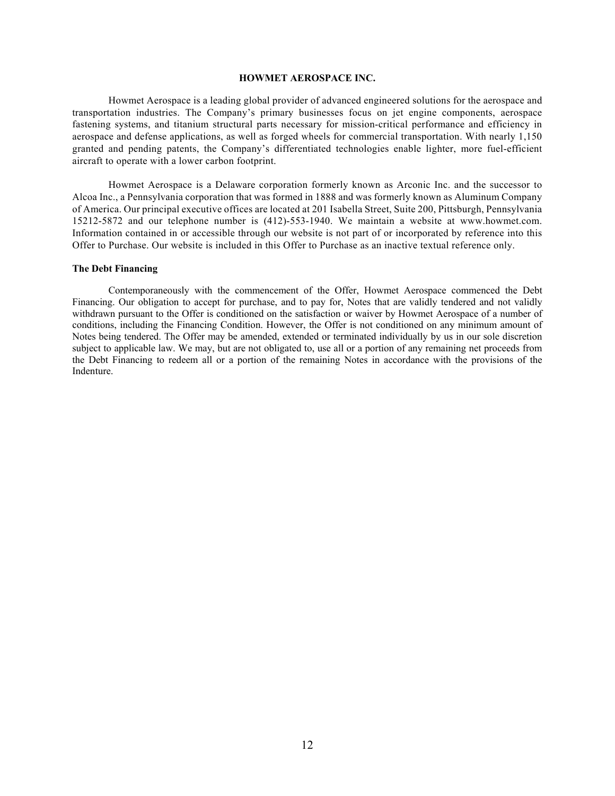## **HOWMET AEROSPACE INC.**

<span id="page-15-0"></span>Howmet Aerospace is a leading global provider of advanced engineered solutions for the aerospace and transportation industries. The Company's primary businesses focus on jet engine components, aerospace fastening systems, and titanium structural parts necessary for mission-critical performance and efficiency in aerospace and defense applications, as well as forged wheels for commercial transportation. With nearly 1,150 granted and pending patents, the Company's differentiated technologies enable lighter, more fuel-efficient aircraft to operate with a lower carbon footprint.

Howmet Aerospace is a Delaware corporation formerly known as Arconic Inc. and the successor to Alcoa Inc., a Pennsylvania corporation that was formed in 1888 and was formerly known as Aluminum Company of America. Our principal executive offices are located at 201 Isabella Street, Suite 200, Pittsburgh, Pennsylvania 15212-5872 and our telephone number is (412)-553-1940. We maintain a website at www.howmet.com. Information contained in or accessible through our website is not part of or incorporated by reference into this Offer to Purchase. Our website is included in this Offer to Purchase as an inactive textual reference only.

#### **The Debt Financing**

Contemporaneously with the commencement of the Offer, Howmet Aerospace commenced the Debt Financing. Our obligation to accept for purchase, and to pay for, Notes that are validly tendered and not validly withdrawn pursuant to the Offer is conditioned on the satisfaction or waiver by Howmet Aerospace of a number of conditions, including the Financing Condition. However, the Offer is not conditioned on any minimum amount of Notes being tendered. The Offer may be amended, extended or terminated individually by us in our sole discretion subject to applicable law. We may, but are not obligated to, use all or a portion of any remaining net proceeds from the Debt Financing to redeem all or a portion of the remaining Notes in accordance with the provisions of the Indenture.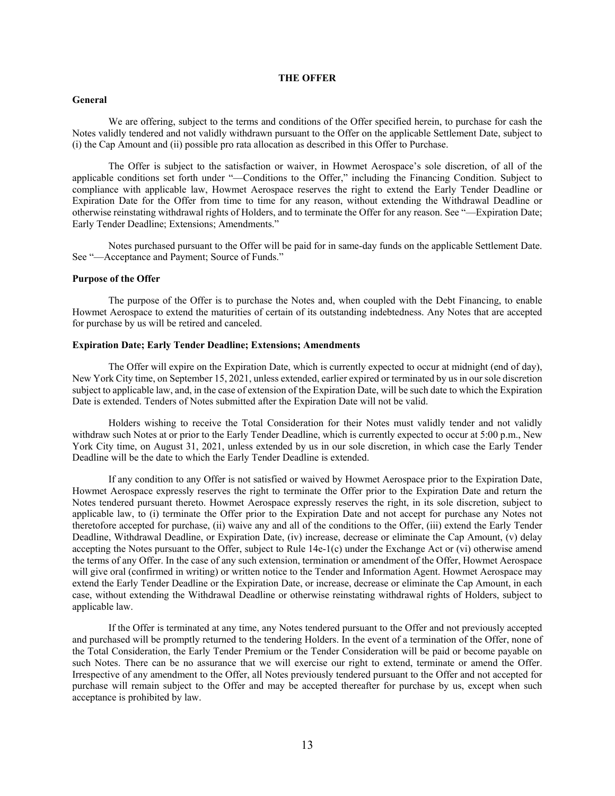## **THE OFFER**

#### <span id="page-16-0"></span>**General**

We are offering, subject to the terms and conditions of the Offer specified herein, to purchase for cash the Notes validly tendered and not validly withdrawn pursuant to the Offer on the applicable Settlement Date, subject to (i) the Cap Amount and (ii) possible pro rata allocation as described in this Offer to Purchase.

The Offer is subject to the satisfaction or waiver, in Howmet Aerospace's sole discretion, of all of the applicable conditions set forth under "—Conditions to the Offer," including the Financing Condition. Subject to compliance with applicable law, Howmet Aerospace reserves the right to extend the Early Tender Deadline or Expiration Date for the Offer from time to time for any reason, without extending the Withdrawal Deadline or otherwise reinstating withdrawal rights of Holders, and to terminate the Offer for any reason. See "—Expiration Date; Early Tender Deadline; Extensions; Amendments."

Notes purchased pursuant to the Offer will be paid for in same-day funds on the applicable Settlement Date. See "—Acceptance and Payment; Source of Funds."

#### **Purpose of the Offer**

The purpose of the Offer is to purchase the Notes and, when coupled with the Debt Financing, to enable Howmet Aerospace to extend the maturities of certain of its outstanding indebtedness. Any Notes that are accepted for purchase by us will be retired and canceled.

#### **Expiration Date; Early Tender Deadline; Extensions; Amendments**

The Offer will expire on the Expiration Date, which is currently expected to occur at midnight (end of day), New York City time, on September 15, 2021, unless extended, earlier expired or terminated by us in our sole discretion subject to applicable law, and, in the case of extension of the Expiration Date, will be such date to which the Expiration Date is extended. Tenders of Notes submitted after the Expiration Date will not be valid.

Holders wishing to receive the Total Consideration for their Notes must validly tender and not validly withdraw such Notes at or prior to the Early Tender Deadline, which is currently expected to occur at 5:00 p.m., New York City time, on August 31, 2021, unless extended by us in our sole discretion, in which case the Early Tender Deadline will be the date to which the Early Tender Deadline is extended.

If any condition to any Offer is not satisfied or waived by Howmet Aerospace prior to the Expiration Date, Howmet Aerospace expressly reserves the right to terminate the Offer prior to the Expiration Date and return the Notes tendered pursuant thereto. Howmet Aerospace expressly reserves the right, in its sole discretion, subject to applicable law, to (i) terminate the Offer prior to the Expiration Date and not accept for purchase any Notes not theretofore accepted for purchase, (ii) waive any and all of the conditions to the Offer, (iii) extend the Early Tender Deadline, Withdrawal Deadline, or Expiration Date, (iv) increase, decrease or eliminate the Cap Amount, (v) delay accepting the Notes pursuant to the Offer, subject to Rule 14e-1(c) under the Exchange Act or (vi) otherwise amend the terms of any Offer. In the case of any such extension, termination or amendment of the Offer, Howmet Aerospace will give oral (confirmed in writing) or written notice to the Tender and Information Agent. Howmet Aerospace may extend the Early Tender Deadline or the Expiration Date, or increase, decrease or eliminate the Cap Amount, in each case, without extending the Withdrawal Deadline or otherwise reinstating withdrawal rights of Holders, subject to applicable law.

If the Offer is terminated at any time, any Notes tendered pursuant to the Offer and not previously accepted and purchased will be promptly returned to the tendering Holders. In the event of a termination of the Offer, none of the Total Consideration, the Early Tender Premium or the Tender Consideration will be paid or become payable on such Notes. There can be no assurance that we will exercise our right to extend, terminate or amend the Offer. Irrespective of any amendment to the Offer, all Notes previously tendered pursuant to the Offer and not accepted for purchase will remain subject to the Offer and may be accepted thereafter for purchase by us, except when such acceptance is prohibited by law.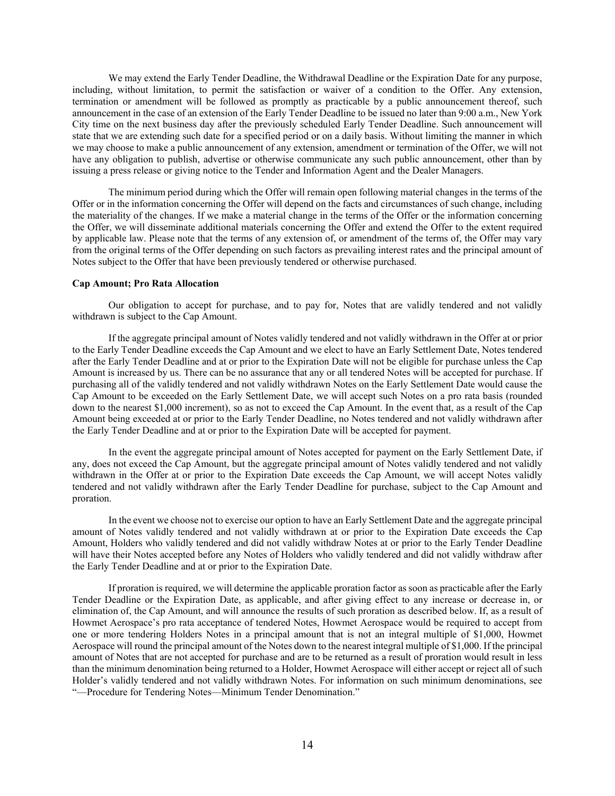We may extend the Early Tender Deadline, the Withdrawal Deadline or the Expiration Date for any purpose, including, without limitation, to permit the satisfaction or waiver of a condition to the Offer. Any extension, termination or amendment will be followed as promptly as practicable by a public announcement thereof, such announcement in the case of an extension of the Early Tender Deadline to be issued no later than 9:00 a.m., New York City time on the next business day after the previously scheduled Early Tender Deadline. Such announcement will state that we are extending such date for a specified period or on a daily basis. Without limiting the manner in which we may choose to make a public announcement of any extension, amendment or termination of the Offer, we will not have any obligation to publish, advertise or otherwise communicate any such public announcement, other than by issuing a press release or giving notice to the Tender and Information Agent and the Dealer Managers.

The minimum period during which the Offer will remain open following material changes in the terms of the Offer or in the information concerning the Offer will depend on the facts and circumstances of such change, including the materiality of the changes. If we make a material change in the terms of the Offer or the information concerning the Offer, we will disseminate additional materials concerning the Offer and extend the Offer to the extent required by applicable law. Please note that the terms of any extension of, or amendment of the terms of, the Offer may vary from the original terms of the Offer depending on such factors as prevailing interest rates and the principal amount of Notes subject to the Offer that have been previously tendered or otherwise purchased.

#### **Cap Amount; Pro Rata Allocation**

Our obligation to accept for purchase, and to pay for, Notes that are validly tendered and not validly withdrawn is subject to the Cap Amount.

If the aggregate principal amount of Notes validly tendered and not validly withdrawn in the Offer at or prior to the Early Tender Deadline exceeds the Cap Amount and we elect to have an Early Settlement Date, Notes tendered after the Early Tender Deadline and at or prior to the Expiration Date will not be eligible for purchase unless the Cap Amount is increased by us. There can be no assurance that any or all tendered Notes will be accepted for purchase. If purchasing all of the validly tendered and not validly withdrawn Notes on the Early Settlement Date would cause the Cap Amount to be exceeded on the Early Settlement Date, we will accept such Notes on a pro rata basis (rounded down to the nearest \$1,000 increment), so as not to exceed the Cap Amount. In the event that, as a result of the Cap Amount being exceeded at or prior to the Early Tender Deadline, no Notes tendered and not validly withdrawn after the Early Tender Deadline and at or prior to the Expiration Date will be accepted for payment.

In the event the aggregate principal amount of Notes accepted for payment on the Early Settlement Date, if any, does not exceed the Cap Amount, but the aggregate principal amount of Notes validly tendered and not validly withdrawn in the Offer at or prior to the Expiration Date exceeds the Cap Amount, we will accept Notes validly tendered and not validly withdrawn after the Early Tender Deadline for purchase, subject to the Cap Amount and proration.

In the event we choose not to exercise our option to have an Early Settlement Date and the aggregate principal amount of Notes validly tendered and not validly withdrawn at or prior to the Expiration Date exceeds the Cap Amount, Holders who validly tendered and did not validly withdraw Notes at or prior to the Early Tender Deadline will have their Notes accepted before any Notes of Holders who validly tendered and did not validly withdraw after the Early Tender Deadline and at or prior to the Expiration Date.

If proration is required, we will determine the applicable proration factor as soon as practicable after the Early Tender Deadline or the Expiration Date, as applicable, and after giving effect to any increase or decrease in, or elimination of, the Cap Amount, and will announce the results of such proration as described below. If, as a result of Howmet Aerospace's pro rata acceptance of tendered Notes, Howmet Aerospace would be required to accept from one or more tendering Holders Notes in a principal amount that is not an integral multiple of \$1,000, Howmet Aerospace will round the principal amount of the Notes down to the nearest integral multiple of \$1,000. If the principal amount of Notes that are not accepted for purchase and are to be returned as a result of proration would result in less than the minimum denomination being returned to a Holder, Howmet Aerospace will either accept or reject all of such Holder's validly tendered and not validly withdrawn Notes. For information on such minimum denominations, see "—Procedure for Tendering Notes—Minimum Tender Denomination."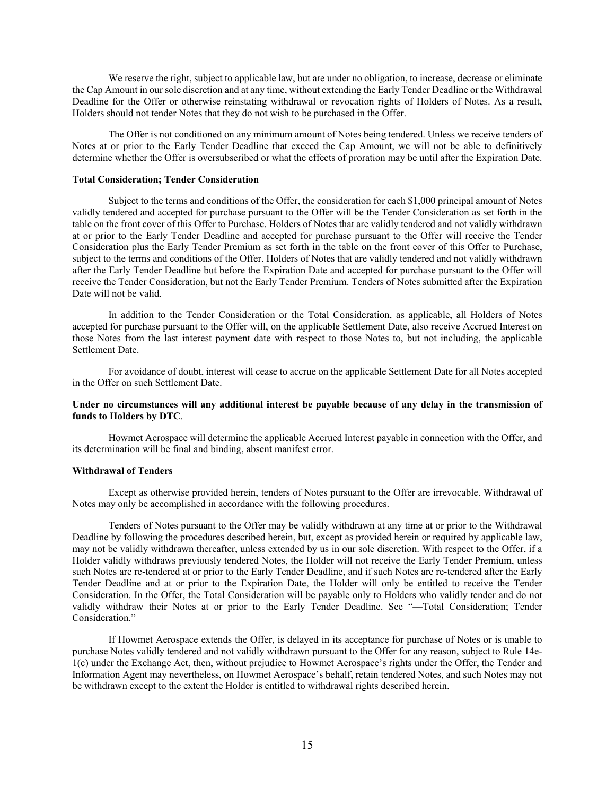We reserve the right, subject to applicable law, but are under no obligation, to increase, decrease or eliminate the Cap Amount in our sole discretion and at any time, without extending the Early Tender Deadline or the Withdrawal Deadline for the Offer or otherwise reinstating withdrawal or revocation rights of Holders of Notes. As a result, Holders should not tender Notes that they do not wish to be purchased in the Offer.

The Offer is not conditioned on any minimum amount of Notes being tendered. Unless we receive tenders of Notes at or prior to the Early Tender Deadline that exceed the Cap Amount, we will not be able to definitively determine whether the Offer is oversubscribed or what the effects of proration may be until after the Expiration Date.

#### **Total Consideration; Tender Consideration**

Subject to the terms and conditions of the Offer, the consideration for each \$1,000 principal amount of Notes validly tendered and accepted for purchase pursuant to the Offer will be the Tender Consideration as set forth in the table on the front cover of this Offer to Purchase. Holders of Notes that are validly tendered and not validly withdrawn at or prior to the Early Tender Deadline and accepted for purchase pursuant to the Offer will receive the Tender Consideration plus the Early Tender Premium as set forth in the table on the front cover of this Offer to Purchase, subject to the terms and conditions of the Offer. Holders of Notes that are validly tendered and not validly withdrawn after the Early Tender Deadline but before the Expiration Date and accepted for purchase pursuant to the Offer will receive the Tender Consideration, but not the Early Tender Premium. Tenders of Notes submitted after the Expiration Date will not be valid.

In addition to the Tender Consideration or the Total Consideration, as applicable, all Holders of Notes accepted for purchase pursuant to the Offer will, on the applicable Settlement Date, also receive Accrued Interest on those Notes from the last interest payment date with respect to those Notes to, but not including, the applicable Settlement Date.

For avoidance of doubt, interest will cease to accrue on the applicable Settlement Date for all Notes accepted in the Offer on such Settlement Date.

## **Under no circumstances will any additional interest be payable because of any delay in the transmission of funds to Holders by DTC**.

Howmet Aerospace will determine the applicable Accrued Interest payable in connection with the Offer, and its determination will be final and binding, absent manifest error.

## **Withdrawal of Tenders**

Except as otherwise provided herein, tenders of Notes pursuant to the Offer are irrevocable. Withdrawal of Notes may only be accomplished in accordance with the following procedures.

Tenders of Notes pursuant to the Offer may be validly withdrawn at any time at or prior to the Withdrawal Deadline by following the procedures described herein, but, except as provided herein or required by applicable law, may not be validly withdrawn thereafter, unless extended by us in our sole discretion. With respect to the Offer, if a Holder validly withdraws previously tendered Notes, the Holder will not receive the Early Tender Premium, unless such Notes are re-tendered at or prior to the Early Tender Deadline, and if such Notes are re-tendered after the Early Tender Deadline and at or prior to the Expiration Date, the Holder will only be entitled to receive the Tender Consideration. In the Offer, the Total Consideration will be payable only to Holders who validly tender and do not validly withdraw their Notes at or prior to the Early Tender Deadline. See "—Total Consideration; Tender Consideration."

If Howmet Aerospace extends the Offer, is delayed in its acceptance for purchase of Notes or is unable to purchase Notes validly tendered and not validly withdrawn pursuant to the Offer for any reason, subject to Rule 14e-1(c) under the Exchange Act, then, without prejudice to Howmet Aerospace's rights under the Offer, the Tender and Information Agent may nevertheless, on Howmet Aerospace's behalf, retain tendered Notes, and such Notes may not be withdrawn except to the extent the Holder is entitled to withdrawal rights described herein.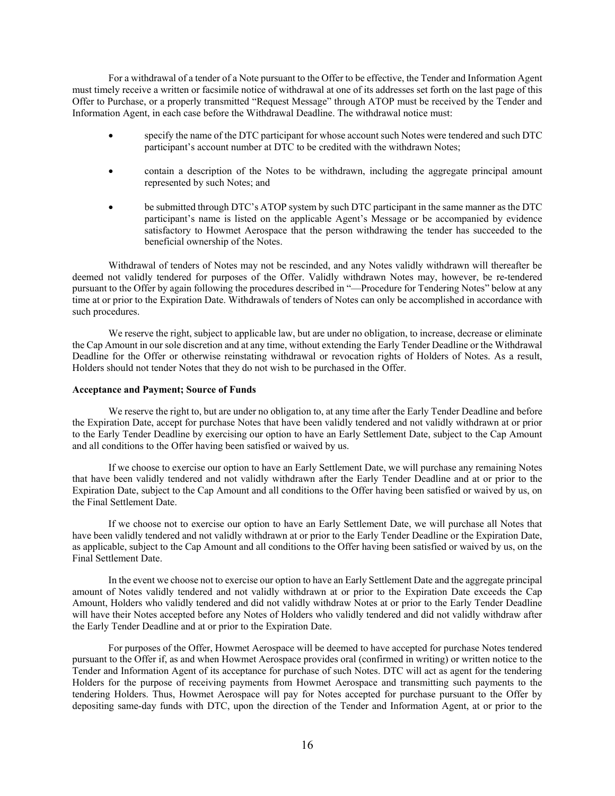For a withdrawal of a tender of a Note pursuant to the Offer to be effective, the Tender and Information Agent must timely receive a written or facsimile notice of withdrawal at one of its addresses set forth on the last page of this Offer to Purchase, or a properly transmitted "Request Message" through ATOP must be received by the Tender and Information Agent, in each case before the Withdrawal Deadline. The withdrawal notice must:

- specify the name of the DTC participant for whose account such Notes were tendered and such DTC participant's account number at DTC to be credited with the withdrawn Notes;
- contain a description of the Notes to be withdrawn, including the aggregate principal amount represented by such Notes; and
- be submitted through DTC's ATOP system by such DTC participant in the same manner as the DTC participant's name is listed on the applicable Agent's Message or be accompanied by evidence satisfactory to Howmet Aerospace that the person withdrawing the tender has succeeded to the beneficial ownership of the Notes.

Withdrawal of tenders of Notes may not be rescinded, and any Notes validly withdrawn will thereafter be deemed not validly tendered for purposes of the Offer. Validly withdrawn Notes may, however, be re-tendered pursuant to the Offer by again following the procedures described in "—Procedure for Tendering Notes" below at any time at or prior to the Expiration Date. Withdrawals of tenders of Notes can only be accomplished in accordance with such procedures.

We reserve the right, subject to applicable law, but are under no obligation, to increase, decrease or eliminate the Cap Amount in our sole discretion and at any time, without extending the Early Tender Deadline or the Withdrawal Deadline for the Offer or otherwise reinstating withdrawal or revocation rights of Holders of Notes. As a result, Holders should not tender Notes that they do not wish to be purchased in the Offer.

#### **Acceptance and Payment; Source of Funds**

We reserve the right to, but are under no obligation to, at any time after the Early Tender Deadline and before the Expiration Date, accept for purchase Notes that have been validly tendered and not validly withdrawn at or prior to the Early Tender Deadline by exercising our option to have an Early Settlement Date, subject to the Cap Amount and all conditions to the Offer having been satisfied or waived by us.

If we choose to exercise our option to have an Early Settlement Date, we will purchase any remaining Notes that have been validly tendered and not validly withdrawn after the Early Tender Deadline and at or prior to the Expiration Date, subject to the Cap Amount and all conditions to the Offer having been satisfied or waived by us, on the Final Settlement Date.

If we choose not to exercise our option to have an Early Settlement Date, we will purchase all Notes that have been validly tendered and not validly withdrawn at or prior to the Early Tender Deadline or the Expiration Date, as applicable, subject to the Cap Amount and all conditions to the Offer having been satisfied or waived by us, on the Final Settlement Date.

In the event we choose not to exercise our option to have an Early Settlement Date and the aggregate principal amount of Notes validly tendered and not validly withdrawn at or prior to the Expiration Date exceeds the Cap Amount, Holders who validly tendered and did not validly withdraw Notes at or prior to the Early Tender Deadline will have their Notes accepted before any Notes of Holders who validly tendered and did not validly withdraw after the Early Tender Deadline and at or prior to the Expiration Date.

For purposes of the Offer, Howmet Aerospace will be deemed to have accepted for purchase Notes tendered pursuant to the Offer if, as and when Howmet Aerospace provides oral (confirmed in writing) or written notice to the Tender and Information Agent of its acceptance for purchase of such Notes. DTC will act as agent for the tendering Holders for the purpose of receiving payments from Howmet Aerospace and transmitting such payments to the tendering Holders. Thus, Howmet Aerospace will pay for Notes accepted for purchase pursuant to the Offer by depositing same-day funds with DTC, upon the direction of the Tender and Information Agent, at or prior to the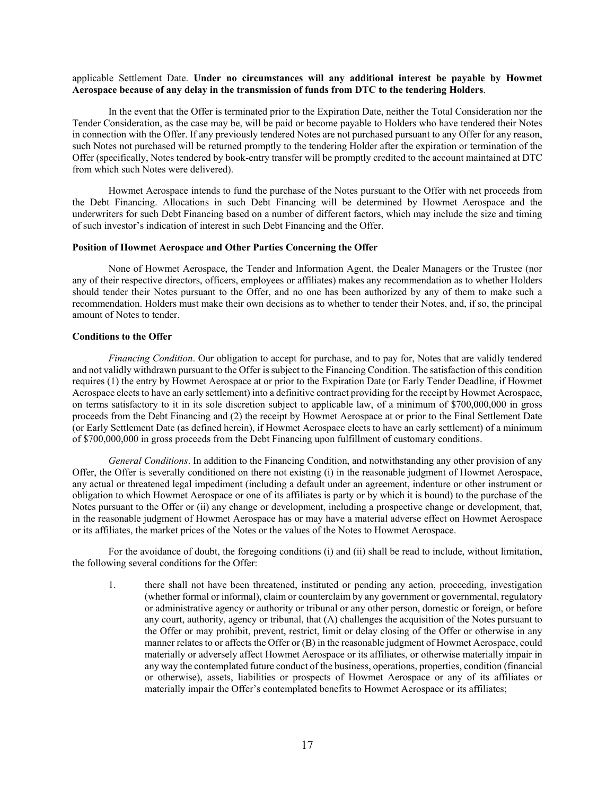## applicable Settlement Date. **Under no circumstances will any additional interest be payable by Howmet Aerospace because of any delay in the transmission of funds from DTC to the tendering Holders**.

In the event that the Offer is terminated prior to the Expiration Date, neither the Total Consideration nor the Tender Consideration, as the case may be, will be paid or become payable to Holders who have tendered their Notes in connection with the Offer. If any previously tendered Notes are not purchased pursuant to any Offer for any reason, such Notes not purchased will be returned promptly to the tendering Holder after the expiration or termination of the Offer (specifically, Notes tendered by book-entry transfer will be promptly credited to the account maintained at DTC from which such Notes were delivered).

Howmet Aerospace intends to fund the purchase of the Notes pursuant to the Offer with net proceeds from the Debt Financing. Allocations in such Debt Financing will be determined by Howmet Aerospace and the underwriters for such Debt Financing based on a number of different factors, which may include the size and timing of such investor's indication of interest in such Debt Financing and the Offer.

#### **Position of Howmet Aerospace and Other Parties Concerning the Offer**

None of Howmet Aerospace, the Tender and Information Agent, the Dealer Managers or the Trustee (nor any of their respective directors, officers, employees or affiliates) makes any recommendation as to whether Holders should tender their Notes pursuant to the Offer, and no one has been authorized by any of them to make such a recommendation. Holders must make their own decisions as to whether to tender their Notes, and, if so, the principal amount of Notes to tender.

#### **Conditions to the Offer**

*Financing Condition*. Our obligation to accept for purchase, and to pay for, Notes that are validly tendered and not validly withdrawn pursuant to the Offer is subject to the Financing Condition. The satisfaction of this condition requires (1) the entry by Howmet Aerospace at or prior to the Expiration Date (or Early Tender Deadline, if Howmet Aerospace elects to have an early settlement) into a definitive contract providing for the receipt by Howmet Aerospace, on terms satisfactory to it in its sole discretion subject to applicable law, of a minimum of \$700,000,000 in gross proceeds from the Debt Financing and (2) the receipt by Howmet Aerospace at or prior to the Final Settlement Date (or Early Settlement Date (as defined herein), if Howmet Aerospace elects to have an early settlement) of a minimum of \$700,000,000 in gross proceeds from the Debt Financing upon fulfillment of customary conditions.

*General Conditions*. In addition to the Financing Condition, and notwithstanding any other provision of any Offer, the Offer is severally conditioned on there not existing (i) in the reasonable judgment of Howmet Aerospace, any actual or threatened legal impediment (including a default under an agreement, indenture or other instrument or obligation to which Howmet Aerospace or one of its affiliates is party or by which it is bound) to the purchase of the Notes pursuant to the Offer or (ii) any change or development, including a prospective change or development, that, in the reasonable judgment of Howmet Aerospace has or may have a material adverse effect on Howmet Aerospace or its affiliates, the market prices of the Notes or the values of the Notes to Howmet Aerospace.

For the avoidance of doubt, the foregoing conditions (i) and (ii) shall be read to include, without limitation, the following several conditions for the Offer:

1. there shall not have been threatened, instituted or pending any action, proceeding, investigation (whether formal or informal), claim or counterclaim by any government or governmental, regulatory or administrative agency or authority or tribunal or any other person, domestic or foreign, or before any court, authority, agency or tribunal, that (A) challenges the acquisition of the Notes pursuant to the Offer or may prohibit, prevent, restrict, limit or delay closing of the Offer or otherwise in any manner relates to or affects the Offer or (B) in the reasonable judgment of Howmet Aerospace, could materially or adversely affect Howmet Aerospace or its affiliates, or otherwise materially impair in any way the contemplated future conduct of the business, operations, properties, condition (financial or otherwise), assets, liabilities or prospects of Howmet Aerospace or any of its affiliates or materially impair the Offer's contemplated benefits to Howmet Aerospace or its affiliates;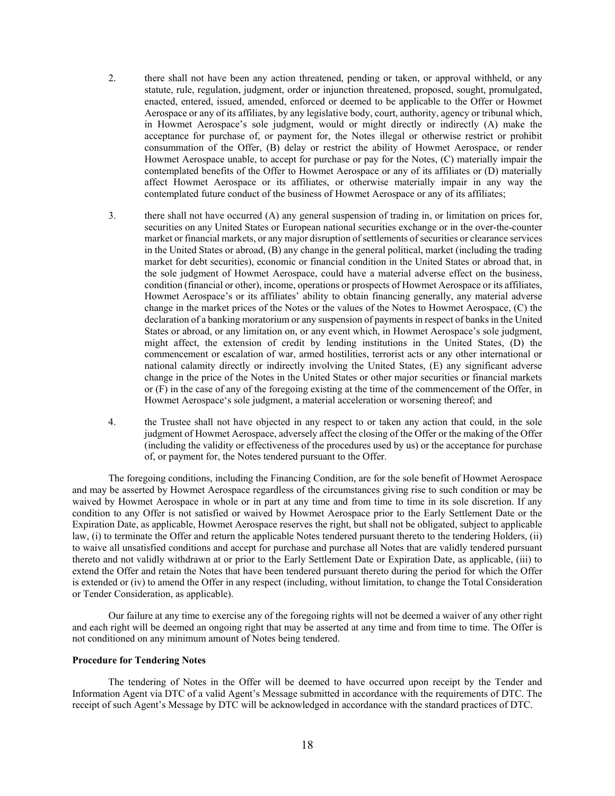- 2. there shall not have been any action threatened, pending or taken, or approval withheld, or any statute, rule, regulation, judgment, order or injunction threatened, proposed, sought, promulgated, enacted, entered, issued, amended, enforced or deemed to be applicable to the Offer or Howmet Aerospace or any of its affiliates, by any legislative body, court, authority, agency or tribunal which, in Howmet Aerospace's sole judgment, would or might directly or indirectly (A) make the acceptance for purchase of, or payment for, the Notes illegal or otherwise restrict or prohibit consummation of the Offer, (B) delay or restrict the ability of Howmet Aerospace, or render Howmet Aerospace unable, to accept for purchase or pay for the Notes, (C) materially impair the contemplated benefits of the Offer to Howmet Aerospace or any of its affiliates or (D) materially affect Howmet Aerospace or its affiliates, or otherwise materially impair in any way the contemplated future conduct of the business of Howmet Aerospace or any of its affiliates;
- 3. there shall not have occurred (A) any general suspension of trading in, or limitation on prices for, securities on any United States or European national securities exchange or in the over-the-counter market or financial markets, or any major disruption of settlements of securities or clearance services in the United States or abroad, (B) any change in the general political, market (including the trading market for debt securities), economic or financial condition in the United States or abroad that, in the sole judgment of Howmet Aerospace, could have a material adverse effect on the business, condition (financial or other), income, operations or prospects of Howmet Aerospace or its affiliates, Howmet Aerospace's or its affiliates' ability to obtain financing generally, any material adverse change in the market prices of the Notes or the values of the Notes to Howmet Aerospace, (C) the declaration of a banking moratorium or any suspension of payments in respect of banks in the United States or abroad, or any limitation on, or any event which, in Howmet Aerospace's sole judgment, might affect, the extension of credit by lending institutions in the United States, (D) the commencement or escalation of war, armed hostilities, terrorist acts or any other international or national calamity directly or indirectly involving the United States, (E) any significant adverse change in the price of the Notes in the United States or other major securities or financial markets or (F) in the case of any of the foregoing existing at the time of the commencement of the Offer, in Howmet Aerospace's sole judgment, a material acceleration or worsening thereof; and
- 4. the Trustee shall not have objected in any respect to or taken any action that could, in the sole judgment of Howmet Aerospace, adversely affect the closing of the Offer or the making of the Offer (including the validity or effectiveness of the procedures used by us) or the acceptance for purchase of, or payment for, the Notes tendered pursuant to the Offer.

The foregoing conditions, including the Financing Condition, are for the sole benefit of Howmet Aerospace and may be asserted by Howmet Aerospace regardless of the circumstances giving rise to such condition or may be waived by Howmet Aerospace in whole or in part at any time and from time to time in its sole discretion. If any condition to any Offer is not satisfied or waived by Howmet Aerospace prior to the Early Settlement Date or the Expiration Date, as applicable, Howmet Aerospace reserves the right, but shall not be obligated, subject to applicable law, (i) to terminate the Offer and return the applicable Notes tendered pursuant thereto to the tendering Holders, (ii) to waive all unsatisfied conditions and accept for purchase and purchase all Notes that are validly tendered pursuant thereto and not validly withdrawn at or prior to the Early Settlement Date or Expiration Date, as applicable, (iii) to extend the Offer and retain the Notes that have been tendered pursuant thereto during the period for which the Offer is extended or (iv) to amend the Offer in any respect (including, without limitation, to change the Total Consideration or Tender Consideration, as applicable).

Our failure at any time to exercise any of the foregoing rights will not be deemed a waiver of any other right and each right will be deemed an ongoing right that may be asserted at any time and from time to time. The Offer is not conditioned on any minimum amount of Notes being tendered.

#### **Procedure for Tendering Notes**

The tendering of Notes in the Offer will be deemed to have occurred upon receipt by the Tender and Information Agent via DTC of a valid Agent's Message submitted in accordance with the requirements of DTC. The receipt of such Agent's Message by DTC will be acknowledged in accordance with the standard practices of DTC.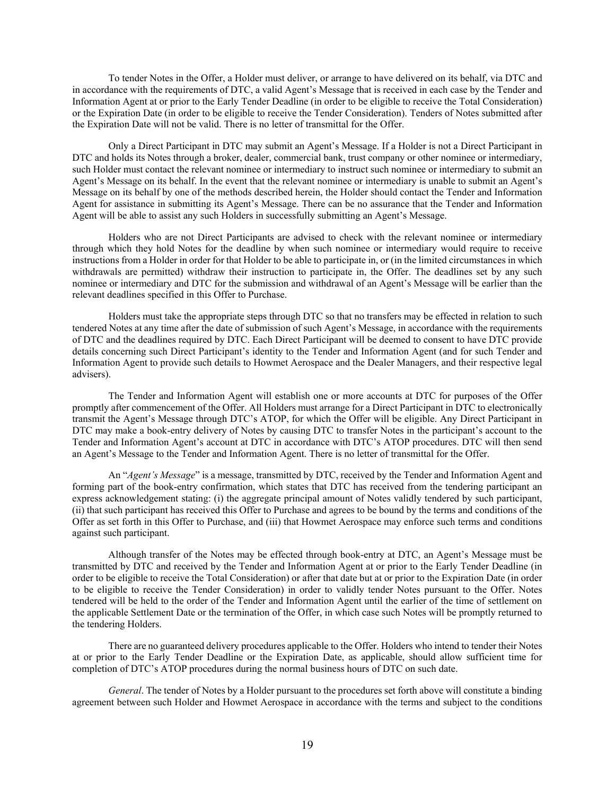To tender Notes in the Offer, a Holder must deliver, or arrange to have delivered on its behalf, via DTC and in accordance with the requirements of DTC, a valid Agent's Message that is received in each case by the Tender and Information Agent at or prior to the Early Tender Deadline (in order to be eligible to receive the Total Consideration) or the Expiration Date (in order to be eligible to receive the Tender Consideration). Tenders of Notes submitted after the Expiration Date will not be valid. There is no letter of transmittal for the Offer.

Only a Direct Participant in DTC may submit an Agent's Message. If a Holder is not a Direct Participant in DTC and holds its Notes through a broker, dealer, commercial bank, trust company or other nominee or intermediary, such Holder must contact the relevant nominee or intermediary to instruct such nominee or intermediary to submit an Agent's Message on its behalf. In the event that the relevant nominee or intermediary is unable to submit an Agent's Message on its behalf by one of the methods described herein, the Holder should contact the Tender and Information Agent for assistance in submitting its Agent's Message. There can be no assurance that the Tender and Information Agent will be able to assist any such Holders in successfully submitting an Agent's Message.

Holders who are not Direct Participants are advised to check with the relevant nominee or intermediary through which they hold Notes for the deadline by when such nominee or intermediary would require to receive instructions from a Holder in order for that Holder to be able to participate in, or (in the limited circumstances in which withdrawals are permitted) withdraw their instruction to participate in, the Offer. The deadlines set by any such nominee or intermediary and DTC for the submission and withdrawal of an Agent's Message will be earlier than the relevant deadlines specified in this Offer to Purchase.

Holders must take the appropriate steps through DTC so that no transfers may be effected in relation to such tendered Notes at any time after the date of submission of such Agent's Message, in accordance with the requirements of DTC and the deadlines required by DTC. Each Direct Participant will be deemed to consent to have DTC provide details concerning such Direct Participant's identity to the Tender and Information Agent (and for such Tender and Information Agent to provide such details to Howmet Aerospace and the Dealer Managers, and their respective legal advisers).

The Tender and Information Agent will establish one or more accounts at DTC for purposes of the Offer promptly after commencement of the Offer. All Holders must arrange for a Direct Participant in DTC to electronically transmit the Agent's Message through DTC's ATOP, for which the Offer will be eligible. Any Direct Participant in DTC may make a book-entry delivery of Notes by causing DTC to transfer Notes in the participant's account to the Tender and Information Agent's account at DTC in accordance with DTC's ATOP procedures. DTC will then send an Agent's Message to the Tender and Information Agent. There is no letter of transmittal for the Offer.

An "*Agent's Message*" is a message, transmitted by DTC, received by the Tender and Information Agent and forming part of the book-entry confirmation, which states that DTC has received from the tendering participant an express acknowledgement stating: (i) the aggregate principal amount of Notes validly tendered by such participant, (ii) that such participant has received this Offer to Purchase and agrees to be bound by the terms and conditions of the Offer as set forth in this Offer to Purchase, and (iii) that Howmet Aerospace may enforce such terms and conditions against such participant.

Although transfer of the Notes may be effected through book-entry at DTC, an Agent's Message must be transmitted by DTC and received by the Tender and Information Agent at or prior to the Early Tender Deadline (in order to be eligible to receive the Total Consideration) or after that date but at or prior to the Expiration Date (in order to be eligible to receive the Tender Consideration) in order to validly tender Notes pursuant to the Offer. Notes tendered will be held to the order of the Tender and Information Agent until the earlier of the time of settlement on the applicable Settlement Date or the termination of the Offer, in which case such Notes will be promptly returned to the tendering Holders.

There are no guaranteed delivery procedures applicable to the Offer. Holders who intend to tender their Notes at or prior to the Early Tender Deadline or the Expiration Date, as applicable, should allow sufficient time for completion of DTC's ATOP procedures during the normal business hours of DTC on such date.

*General*. The tender of Notes by a Holder pursuant to the procedures set forth above will constitute a binding agreement between such Holder and Howmet Aerospace in accordance with the terms and subject to the conditions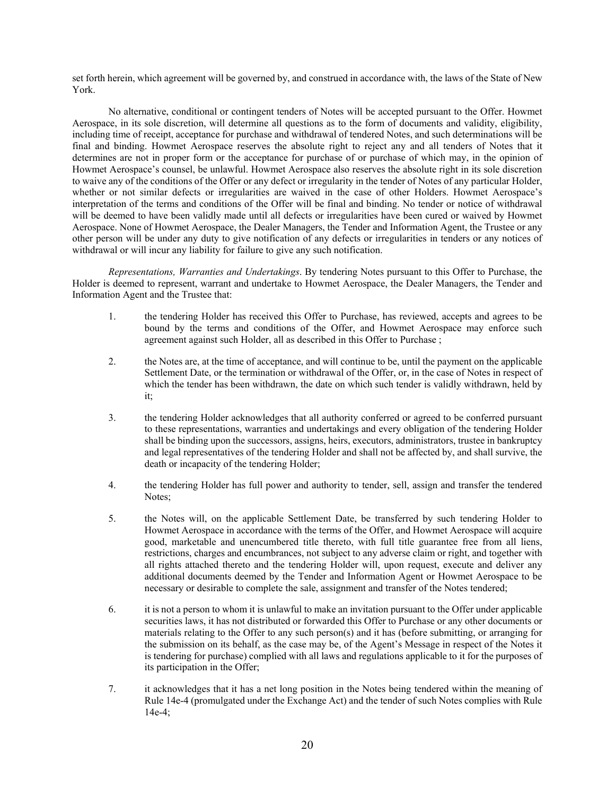set forth herein, which agreement will be governed by, and construed in accordance with, the laws of the State of New York.

No alternative, conditional or contingent tenders of Notes will be accepted pursuant to the Offer. Howmet Aerospace, in its sole discretion, will determine all questions as to the form of documents and validity, eligibility, including time of receipt, acceptance for purchase and withdrawal of tendered Notes, and such determinations will be final and binding. Howmet Aerospace reserves the absolute right to reject any and all tenders of Notes that it determines are not in proper form or the acceptance for purchase of or purchase of which may, in the opinion of Howmet Aerospace's counsel, be unlawful. Howmet Aerospace also reserves the absolute right in its sole discretion to waive any of the conditions of the Offer or any defect or irregularity in the tender of Notes of any particular Holder, whether or not similar defects or irregularities are waived in the case of other Holders. Howmet Aerospace's interpretation of the terms and conditions of the Offer will be final and binding. No tender or notice of withdrawal will be deemed to have been validly made until all defects or irregularities have been cured or waived by Howmet Aerospace. None of Howmet Aerospace, the Dealer Managers, the Tender and Information Agent, the Trustee or any other person will be under any duty to give notification of any defects or irregularities in tenders or any notices of withdrawal or will incur any liability for failure to give any such notification.

*Representations, Warranties and Undertakings*. By tendering Notes pursuant to this Offer to Purchase, the Holder is deemed to represent, warrant and undertake to Howmet Aerospace, the Dealer Managers, the Tender and Information Agent and the Trustee that:

- 1. the tendering Holder has received this Offer to Purchase, has reviewed, accepts and agrees to be bound by the terms and conditions of the Offer, and Howmet Aerospace may enforce such agreement against such Holder, all as described in this Offer to Purchase ;
- 2. the Notes are, at the time of acceptance, and will continue to be, until the payment on the applicable Settlement Date, or the termination or withdrawal of the Offer, or, in the case of Notes in respect of which the tender has been withdrawn, the date on which such tender is validly withdrawn, held by it;
- 3. the tendering Holder acknowledges that all authority conferred or agreed to be conferred pursuant to these representations, warranties and undertakings and every obligation of the tendering Holder shall be binding upon the successors, assigns, heirs, executors, administrators, trustee in bankruptcy and legal representatives of the tendering Holder and shall not be affected by, and shall survive, the death or incapacity of the tendering Holder;
- 4. the tendering Holder has full power and authority to tender, sell, assign and transfer the tendered Notes;
- 5. the Notes will, on the applicable Settlement Date, be transferred by such tendering Holder to Howmet Aerospace in accordance with the terms of the Offer, and Howmet Aerospace will acquire good, marketable and unencumbered title thereto, with full title guarantee free from all liens, restrictions, charges and encumbrances, not subject to any adverse claim or right, and together with all rights attached thereto and the tendering Holder will, upon request, execute and deliver any additional documents deemed by the Tender and Information Agent or Howmet Aerospace to be necessary or desirable to complete the sale, assignment and transfer of the Notes tendered;
- 6. it is not a person to whom it is unlawful to make an invitation pursuant to the Offer under applicable securities laws, it has not distributed or forwarded this Offer to Purchase or any other documents or materials relating to the Offer to any such person(s) and it has (before submitting, or arranging for the submission on its behalf, as the case may be, of the Agent's Message in respect of the Notes it is tendering for purchase) complied with all laws and regulations applicable to it for the purposes of its participation in the Offer;
- 7. it acknowledges that it has a net long position in the Notes being tendered within the meaning of Rule 14e-4 (promulgated under the Exchange Act) and the tender of such Notes complies with Rule 14e-4;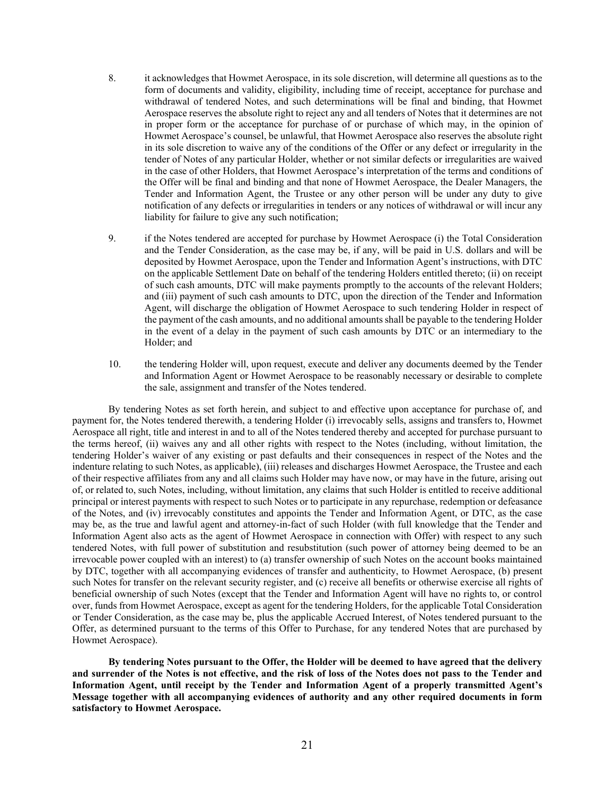- 8. it acknowledges that Howmet Aerospace, in its sole discretion, will determine all questions as to the form of documents and validity, eligibility, including time of receipt, acceptance for purchase and withdrawal of tendered Notes, and such determinations will be final and binding, that Howmet Aerospace reserves the absolute right to reject any and all tenders of Notes that it determines are not in proper form or the acceptance for purchase of or purchase of which may, in the opinion of Howmet Aerospace's counsel, be unlawful, that Howmet Aerospace also reserves the absolute right in its sole discretion to waive any of the conditions of the Offer or any defect or irregularity in the tender of Notes of any particular Holder, whether or not similar defects or irregularities are waived in the case of other Holders, that Howmet Aerospace's interpretation of the terms and conditions of the Offer will be final and binding and that none of Howmet Aerospace, the Dealer Managers, the Tender and Information Agent, the Trustee or any other person will be under any duty to give notification of any defects or irregularities in tenders or any notices of withdrawal or will incur any liability for failure to give any such notification;
- 9. if the Notes tendered are accepted for purchase by Howmet Aerospace (i) the Total Consideration and the Tender Consideration, as the case may be, if any, will be paid in U.S. dollars and will be deposited by Howmet Aerospace, upon the Tender and Information Agent's instructions, with DTC on the applicable Settlement Date on behalf of the tendering Holders entitled thereto; (ii) on receipt of such cash amounts, DTC will make payments promptly to the accounts of the relevant Holders; and (iii) payment of such cash amounts to DTC, upon the direction of the Tender and Information Agent, will discharge the obligation of Howmet Aerospace to such tendering Holder in respect of the payment of the cash amounts, and no additional amounts shall be payable to the tendering Holder in the event of a delay in the payment of such cash amounts by DTC or an intermediary to the Holder; and
- 10. the tendering Holder will, upon request, execute and deliver any documents deemed by the Tender and Information Agent or Howmet Aerospace to be reasonably necessary or desirable to complete the sale, assignment and transfer of the Notes tendered.

By tendering Notes as set forth herein, and subject to and effective upon acceptance for purchase of, and payment for, the Notes tendered therewith, a tendering Holder (i) irrevocably sells, assigns and transfers to, Howmet Aerospace all right, title and interest in and to all of the Notes tendered thereby and accepted for purchase pursuant to the terms hereof, (ii) waives any and all other rights with respect to the Notes (including, without limitation, the tendering Holder's waiver of any existing or past defaults and their consequences in respect of the Notes and the indenture relating to such Notes, as applicable), (iii) releases and discharges Howmet Aerospace, the Trustee and each of their respective affiliates from any and all claims such Holder may have now, or may have in the future, arising out of, or related to, such Notes, including, without limitation, any claims that such Holder is entitled to receive additional principal or interest payments with respect to such Notes or to participate in any repurchase, redemption or defeasance of the Notes, and (iv) irrevocably constitutes and appoints the Tender and Information Agent, or DTC, as the case may be, as the true and lawful agent and attorney-in-fact of such Holder (with full knowledge that the Tender and Information Agent also acts as the agent of Howmet Aerospace in connection with Offer) with respect to any such tendered Notes, with full power of substitution and resubstitution (such power of attorney being deemed to be an irrevocable power coupled with an interest) to (a) transfer ownership of such Notes on the account books maintained by DTC, together with all accompanying evidences of transfer and authenticity, to Howmet Aerospace, (b) present such Notes for transfer on the relevant security register, and (c) receive all benefits or otherwise exercise all rights of beneficial ownership of such Notes (except that the Tender and Information Agent will have no rights to, or control over, funds from Howmet Aerospace, except as agent for the tendering Holders, for the applicable Total Consideration or Tender Consideration, as the case may be, plus the applicable Accrued Interest, of Notes tendered pursuant to the Offer, as determined pursuant to the terms of this Offer to Purchase, for any tendered Notes that are purchased by Howmet Aerospace).

**By tendering Notes pursuant to the Offer, the Holder will be deemed to have agreed that the delivery and surrender of the Notes is not effective, and the risk of loss of the Notes does not pass to the Tender and Information Agent, until receipt by the Tender and Information Agent of a properly transmitted Agent's Message together with all accompanying evidences of authority and any other required documents in form satisfactory to Howmet Aerospace.**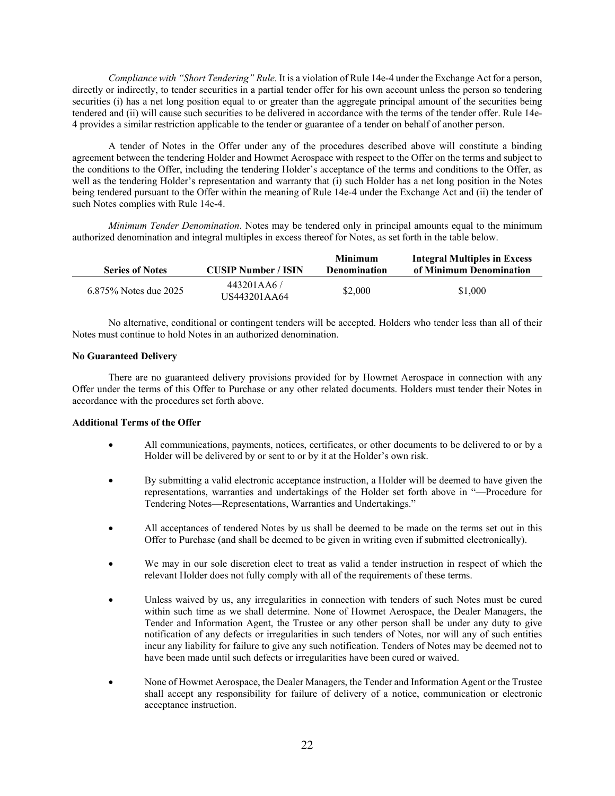*Compliance with "Short Tendering" Rule.* It is a violation of Rule 14e-4 under the Exchange Act for a person, directly or indirectly, to tender securities in a partial tender offer for his own account unless the person so tendering securities (i) has a net long position equal to or greater than the aggregate principal amount of the securities being tendered and (ii) will cause such securities to be delivered in accordance with the terms of the tender offer. Rule 14e-4 provides a similar restriction applicable to the tender or guarantee of a tender on behalf of another person.

A tender of Notes in the Offer under any of the procedures described above will constitute a binding agreement between the tendering Holder and Howmet Aerospace with respect to the Offer on the terms and subject to the conditions to the Offer, including the tendering Holder's acceptance of the terms and conditions to the Offer, as well as the tendering Holder's representation and warranty that (i) such Holder has a net long position in the Notes being tendered pursuant to the Offer within the meaning of Rule 14e-4 under the Exchange Act and (ii) the tender of such Notes complies with Rule 14e-4.

*Minimum Tender Denomination*. Notes may be tendered only in principal amounts equal to the minimum authorized denomination and integral multiples in excess thereof for Notes, as set forth in the table below.

| <b>Series of Notes</b> | <b>CUSIP Number / ISIN</b> | Minimum<br><b>Denomination</b> | <b>Integral Multiples in Excess</b><br>of Minimum Denomination |
|------------------------|----------------------------|--------------------------------|----------------------------------------------------------------|
| 6.875% Notes due 2025  | 443201AA6/<br>US443201AA64 | \$2,000                        | \$1,000                                                        |

No alternative, conditional or contingent tenders will be accepted. Holders who tender less than all of their Notes must continue to hold Notes in an authorized denomination.

## **No Guaranteed Delivery**

There are no guaranteed delivery provisions provided for by Howmet Aerospace in connection with any Offer under the terms of this Offer to Purchase or any other related documents. Holders must tender their Notes in accordance with the procedures set forth above.

## **Additional Terms of the Offer**

- All communications, payments, notices, certificates, or other documents to be delivered to or by a Holder will be delivered by or sent to or by it at the Holder's own risk.
- By submitting a valid electronic acceptance instruction, a Holder will be deemed to have given the representations, warranties and undertakings of the Holder set forth above in "—Procedure for Tendering Notes—Representations, Warranties and Undertakings."
- All acceptances of tendered Notes by us shall be deemed to be made on the terms set out in this Offer to Purchase (and shall be deemed to be given in writing even if submitted electronically).
- We may in our sole discretion elect to treat as valid a tender instruction in respect of which the relevant Holder does not fully comply with all of the requirements of these terms.
- Unless waived by us, any irregularities in connection with tenders of such Notes must be cured within such time as we shall determine. None of Howmet Aerospace, the Dealer Managers, the Tender and Information Agent, the Trustee or any other person shall be under any duty to give notification of any defects or irregularities in such tenders of Notes, nor will any of such entities incur any liability for failure to give any such notification. Tenders of Notes may be deemed not to have been made until such defects or irregularities have been cured or waived.
- None of Howmet Aerospace, the Dealer Managers, the Tender and Information Agent or the Trustee shall accept any responsibility for failure of delivery of a notice, communication or electronic acceptance instruction.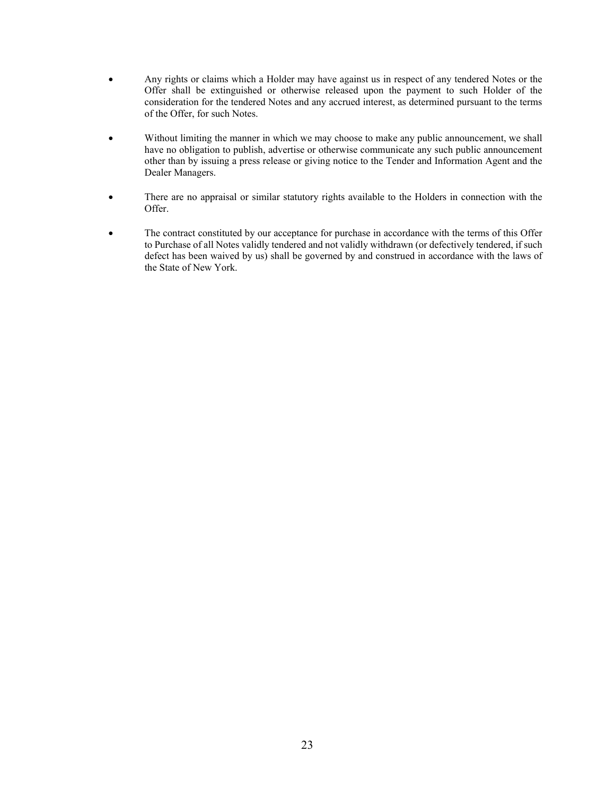- Any rights or claims which a Holder may have against us in respect of any tendered Notes or the Offer shall be extinguished or otherwise released upon the payment to such Holder of the consideration for the tendered Notes and any accrued interest, as determined pursuant to the terms of the Offer, for such Notes.
- Without limiting the manner in which we may choose to make any public announcement, we shall have no obligation to publish, advertise or otherwise communicate any such public announcement other than by issuing a press release or giving notice to the Tender and Information Agent and the Dealer Managers.
- There are no appraisal or similar statutory rights available to the Holders in connection with the Offer.
- The contract constituted by our acceptance for purchase in accordance with the terms of this Offer to Purchase of all Notes validly tendered and not validly withdrawn (or defectively tendered, if such defect has been waived by us) shall be governed by and construed in accordance with the laws of the State of New York.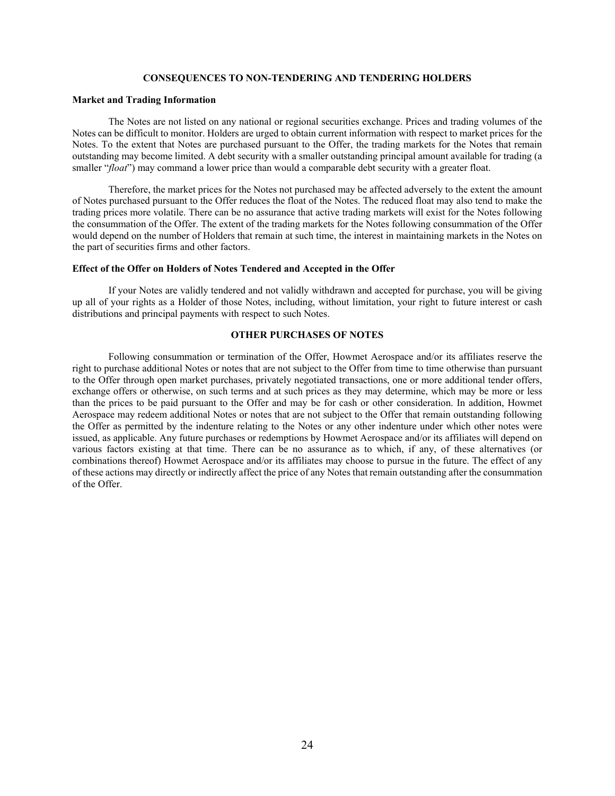## **CONSEQUENCES TO NON-TENDERING AND TENDERING HOLDERS**

## <span id="page-27-0"></span>**Market and Trading Information**

The Notes are not listed on any national or regional securities exchange. Prices and trading volumes of the Notes can be difficult to monitor. Holders are urged to obtain current information with respect to market prices for the Notes. To the extent that Notes are purchased pursuant to the Offer, the trading markets for the Notes that remain outstanding may become limited. A debt security with a smaller outstanding principal amount available for trading (a smaller "*float*") may command a lower price than would a comparable debt security with a greater float.

Therefore, the market prices for the Notes not purchased may be affected adversely to the extent the amount of Notes purchased pursuant to the Offer reduces the float of the Notes. The reduced float may also tend to make the trading prices more volatile. There can be no assurance that active trading markets will exist for the Notes following the consummation of the Offer. The extent of the trading markets for the Notes following consummation of the Offer would depend on the number of Holders that remain at such time, the interest in maintaining markets in the Notes on the part of securities firms and other factors.

#### **Effect of the Offer on Holders of Notes Tendered and Accepted in the Offer**

If your Notes are validly tendered and not validly withdrawn and accepted for purchase, you will be giving up all of your rights as a Holder of those Notes, including, without limitation, your right to future interest or cash distributions and principal payments with respect to such Notes.

## **OTHER PURCHASES OF NOTES**

<span id="page-27-1"></span>Following consummation or termination of the Offer, Howmet Aerospace and/or its affiliates reserve the right to purchase additional Notes or notes that are not subject to the Offer from time to time otherwise than pursuant to the Offer through open market purchases, privately negotiated transactions, one or more additional tender offers, exchange offers or otherwise, on such terms and at such prices as they may determine, which may be more or less than the prices to be paid pursuant to the Offer and may be for cash or other consideration. In addition, Howmet Aerospace may redeem additional Notes or notes that are not subject to the Offer that remain outstanding following the Offer as permitted by the indenture relating to the Notes or any other indenture under which other notes were issued, as applicable. Any future purchases or redemptions by Howmet Aerospace and/or its affiliates will depend on various factors existing at that time. There can be no assurance as to which, if any, of these alternatives (or combinations thereof) Howmet Aerospace and/or its affiliates may choose to pursue in the future. The effect of any of these actions may directly or indirectly affect the price of any Notes that remain outstanding after the consummation of the Offer.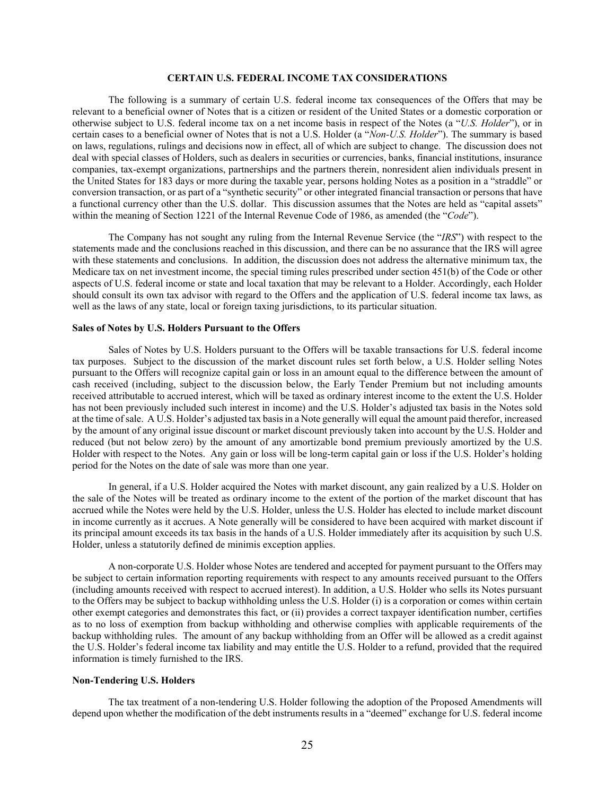## **CERTAIN U.S. FEDERAL INCOME TAX CONSIDERATIONS**

<span id="page-28-0"></span>The following is a summary of certain U.S. federal income tax consequences of the Offers that may be relevant to a beneficial owner of Notes that is a citizen or resident of the United States or a domestic corporation or otherwise subject to U.S. federal income tax on a net income basis in respect of the Notes (a "*U.S. Holder*"), or in certain cases to a beneficial owner of Notes that is not a U.S. Holder (a "*Non-U.S. Holder*"). The summary is based on laws, regulations, rulings and decisions now in effect, all of which are subject to change. The discussion does not deal with special classes of Holders, such as dealers in securities or currencies, banks, financial institutions, insurance companies, tax-exempt organizations, partnerships and the partners therein, nonresident alien individuals present in the United States for 183 days or more during the taxable year, persons holding Notes as a position in a "straddle" or conversion transaction, or as part of a "synthetic security" or other integrated financial transaction or persons that have a functional currency other than the U.S. dollar. This discussion assumes that the Notes are held as "capital assets" within the meaning of Section 1221 of the Internal Revenue Code of 1986, as amended (the "*Code*").

The Company has not sought any ruling from the Internal Revenue Service (the "*IRS*") with respect to the statements made and the conclusions reached in this discussion, and there can be no assurance that the IRS will agree with these statements and conclusions. In addition, the discussion does not address the alternative minimum tax, the Medicare tax on net investment income, the special timing rules prescribed under section 451(b) of the Code or other aspects of U.S. federal income or state and local taxation that may be relevant to a Holder. Accordingly, each Holder should consult its own tax advisor with regard to the Offers and the application of U.S. federal income tax laws, as well as the laws of any state, local or foreign taxing jurisdictions, to its particular situation.

#### **Sales of Notes by U.S. Holders Pursuant to the Offers**

Sales of Notes by U.S. Holders pursuant to the Offers will be taxable transactions for U.S. federal income tax purposes. Subject to the discussion of the market discount rules set forth below, a U.S. Holder selling Notes pursuant to the Offers will recognize capital gain or loss in an amount equal to the difference between the amount of cash received (including, subject to the discussion below, the Early Tender Premium but not including amounts received attributable to accrued interest, which will be taxed as ordinary interest income to the extent the U.S. Holder has not been previously included such interest in income) and the U.S. Holder's adjusted tax basis in the Notes sold at the time of sale. A U.S. Holder's adjusted tax basis in a Note generally will equal the amount paid therefor, increased by the amount of any original issue discount or market discount previously taken into account by the U.S. Holder and reduced (but not below zero) by the amount of any amortizable bond premium previously amortized by the U.S. Holder with respect to the Notes. Any gain or loss will be long-term capital gain or loss if the U.S. Holder's holding period for the Notes on the date of sale was more than one year.

In general, if a U.S. Holder acquired the Notes with market discount, any gain realized by a U.S. Holder on the sale of the Notes will be treated as ordinary income to the extent of the portion of the market discount that has accrued while the Notes were held by the U.S. Holder, unless the U.S. Holder has elected to include market discount in income currently as it accrues. A Note generally will be considered to have been acquired with market discount if its principal amount exceeds its tax basis in the hands of a U.S. Holder immediately after its acquisition by such U.S. Holder, unless a statutorily defined de minimis exception applies.

A non-corporate U.S. Holder whose Notes are tendered and accepted for payment pursuant to the Offers may be subject to certain information reporting requirements with respect to any amounts received pursuant to the Offers (including amounts received with respect to accrued interest). In addition, a U.S. Holder who sells its Notes pursuant to the Offers may be subject to backup withholding unless the U.S. Holder (i) is a corporation or comes within certain other exempt categories and demonstrates this fact, or (ii) provides a correct taxpayer identification number, certifies as to no loss of exemption from backup withholding and otherwise complies with applicable requirements of the backup withholding rules. The amount of any backup withholding from an Offer will be allowed as a credit against the U.S. Holder's federal income tax liability and may entitle the U.S. Holder to a refund, provided that the required information is timely furnished to the IRS.

## **Non-Tendering U.S. Holders**

The tax treatment of a non-tendering U.S. Holder following the adoption of the Proposed Amendments will depend upon whether the modification of the debt instruments results in a "deemed" exchange for U.S. federal income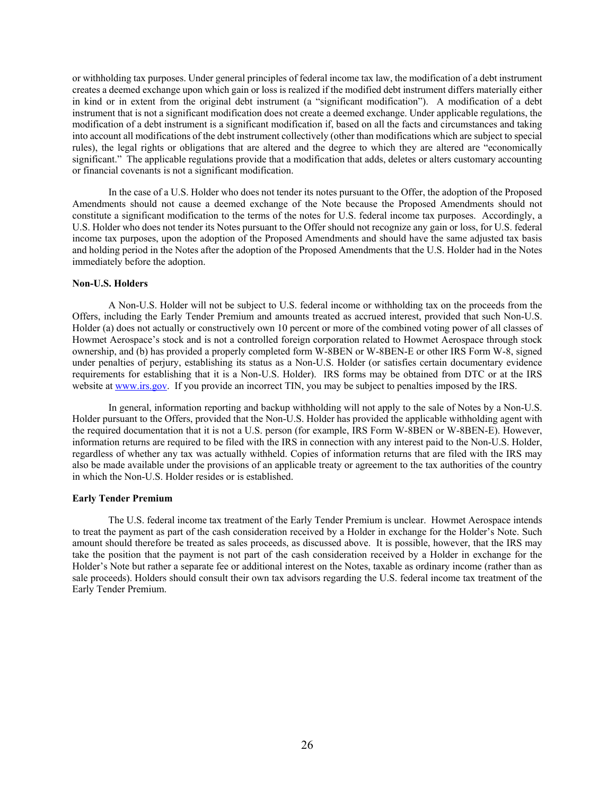or withholding tax purposes. Under general principles of federal income tax law, the modification of a debt instrument creates a deemed exchange upon which gain or loss is realized if the modified debt instrument differs materially either in kind or in extent from the original debt instrument (a "significant modification"). A modification of a debt instrument that is not a significant modification does not create a deemed exchange. Under applicable regulations, the modification of a debt instrument is a significant modification if, based on all the facts and circumstances and taking into account all modifications of the debt instrument collectively (other than modifications which are subject to special rules), the legal rights or obligations that are altered and the degree to which they are altered are "economically significant." The applicable regulations provide that a modification that adds, deletes or alters customary accounting or financial covenants is not a significant modification.

In the case of a U.S. Holder who does not tender its notes pursuant to the Offer, the adoption of the Proposed Amendments should not cause a deemed exchange of the Note because the Proposed Amendments should not constitute a significant modification to the terms of the notes for U.S. federal income tax purposes. Accordingly, a U.S. Holder who does not tender its Notes pursuant to the Offer should not recognize any gain or loss, for U.S. federal income tax purposes, upon the adoption of the Proposed Amendments and should have the same adjusted tax basis and holding period in the Notes after the adoption of the Proposed Amendments that the U.S. Holder had in the Notes immediately before the adoption.

#### **Non-U.S. Holders**

A Non-U.S. Holder will not be subject to U.S. federal income or withholding tax on the proceeds from the Offers, including the Early Tender Premium and amounts treated as accrued interest, provided that such Non-U.S. Holder (a) does not actually or constructively own 10 percent or more of the combined voting power of all classes of Howmet Aerospace's stock and is not a controlled foreign corporation related to Howmet Aerospace through stock ownership, and (b) has provided a properly completed form W-8BEN or W-8BEN-E or other IRS Form W-8, signed under penalties of perjury, establishing its status as a Non-U.S. Holder (or satisfies certain documentary evidence requirements for establishing that it is a Non-U.S. Holder). IRS forms may be obtained from DTC or at the IRS website at [www.irs.gov.](http://www.irs.gov/) If you provide an incorrect TIN, you may be subject to penalties imposed by the IRS.

In general, information reporting and backup withholding will not apply to the sale of Notes by a Non-U.S. Holder pursuant to the Offers, provided that the Non-U.S. Holder has provided the applicable withholding agent with the required documentation that it is not a U.S. person (for example, IRS Form W-8BEN or W-8BEN-E). However, information returns are required to be filed with the IRS in connection with any interest paid to the Non-U.S. Holder, regardless of whether any tax was actually withheld. Copies of information returns that are filed with the IRS may also be made available under the provisions of an applicable treaty or agreement to the tax authorities of the country in which the Non-U.S. Holder resides or is established.

### **Early Tender Premium**

The U.S. federal income tax treatment of the Early Tender Premium is unclear. Howmet Aerospace intends to treat the payment as part of the cash consideration received by a Holder in exchange for the Holder's Note. Such amount should therefore be treated as sales proceeds, as discussed above. It is possible, however, that the IRS may take the position that the payment is not part of the cash consideration received by a Holder in exchange for the Holder's Note but rather a separate fee or additional interest on the Notes, taxable as ordinary income (rather than as sale proceeds). Holders should consult their own tax advisors regarding the U.S. federal income tax treatment of the Early Tender Premium.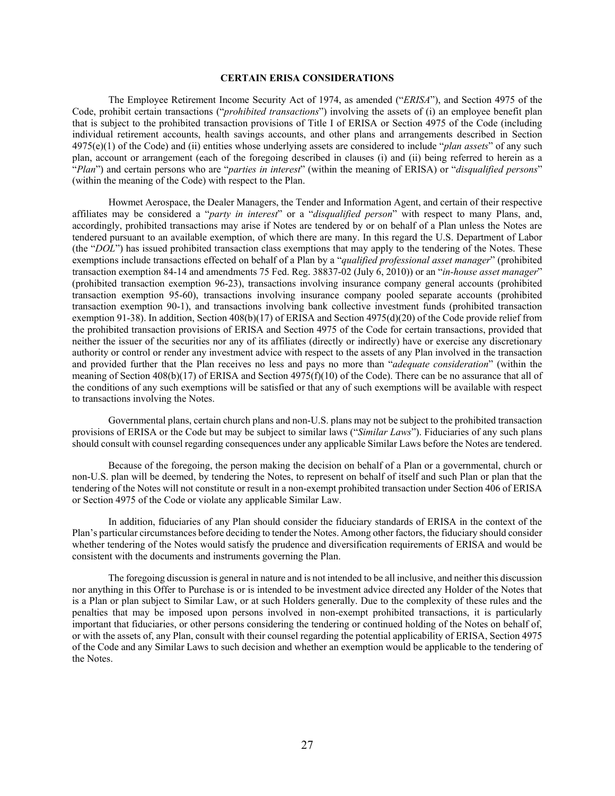## **CERTAIN ERISA CONSIDERATIONS**

<span id="page-30-0"></span>The Employee Retirement Income Security Act of 1974, as amended ("*ERISA*"), and Section 4975 of the Code, prohibit certain transactions ("*prohibited transactions*") involving the assets of (i) an employee benefit plan that is subject to the prohibited transaction provisions of Title I of ERISA or Section 4975 of the Code (including individual retirement accounts, health savings accounts, and other plans and arrangements described in Section 4975(e)(1) of the Code) and (ii) entities whose underlying assets are considered to include "*plan assets*" of any such plan, account or arrangement (each of the foregoing described in clauses (i) and (ii) being referred to herein as a "*Plan*") and certain persons who are "*parties in interest*" (within the meaning of ERISA) or "*disqualified persons*" (within the meaning of the Code) with respect to the Plan.

Howmet Aerospace, the Dealer Managers, the Tender and Information Agent, and certain of their respective affiliates may be considered a "*party in interest*" or a "*disqualified person*" with respect to many Plans, and, accordingly, prohibited transactions may arise if Notes are tendered by or on behalf of a Plan unless the Notes are tendered pursuant to an available exemption, of which there are many. In this regard the U.S. Department of Labor (the "*DOL*") has issued prohibited transaction class exemptions that may apply to the tendering of the Notes. These exemptions include transactions effected on behalf of a Plan by a "*qualified professional asset manager*" (prohibited transaction exemption 84-14 and amendments 75 Fed. Reg. 38837-02 (July 6, 2010)) or an "*in-house asset manager*" (prohibited transaction exemption 96-23), transactions involving insurance company general accounts (prohibited transaction exemption 95-60), transactions involving insurance company pooled separate accounts (prohibited transaction exemption 90-1), and transactions involving bank collective investment funds (prohibited transaction exemption 91-38). In addition, Section 408(b)(17) of ERISA and Section 4975(d)(20) of the Code provide relief from the prohibited transaction provisions of ERISA and Section 4975 of the Code for certain transactions, provided that neither the issuer of the securities nor any of its affiliates (directly or indirectly) have or exercise any discretionary authority or control or render any investment advice with respect to the assets of any Plan involved in the transaction and provided further that the Plan receives no less and pays no more than "*adequate consideration*" (within the meaning of Section 408(b)(17) of ERISA and Section 4975(f)(10) of the Code). There can be no assurance that all of the conditions of any such exemptions will be satisfied or that any of such exemptions will be available with respect to transactions involving the Notes.

Governmental plans, certain church plans and non-U.S. plans may not be subject to the prohibited transaction provisions of ERISA or the Code but may be subject to similar laws ("*Similar Laws*"). Fiduciaries of any such plans should consult with counsel regarding consequences under any applicable Similar Laws before the Notes are tendered.

Because of the foregoing, the person making the decision on behalf of a Plan or a governmental, church or non-U.S. plan will be deemed, by tendering the Notes, to represent on behalf of itself and such Plan or plan that the tendering of the Notes will not constitute or result in a non-exempt prohibited transaction under Section 406 of ERISA or Section 4975 of the Code or violate any applicable Similar Law.

In addition, fiduciaries of any Plan should consider the fiduciary standards of ERISA in the context of the Plan's particular circumstances before deciding to tender the Notes. Among other factors, the fiduciary should consider whether tendering of the Notes would satisfy the prudence and diversification requirements of ERISA and would be consistent with the documents and instruments governing the Plan.

The foregoing discussion is general in nature and is not intended to be all inclusive, and neither this discussion nor anything in this Offer to Purchase is or is intended to be investment advice directed any Holder of the Notes that is a Plan or plan subject to Similar Law, or at such Holders generally. Due to the complexity of these rules and the penalties that may be imposed upon persons involved in non-exempt prohibited transactions, it is particularly important that fiduciaries, or other persons considering the tendering or continued holding of the Notes on behalf of, or with the assets of, any Plan, consult with their counsel regarding the potential applicability of ERISA, Section 4975 of the Code and any Similar Laws to such decision and whether an exemption would be applicable to the tendering of the Notes.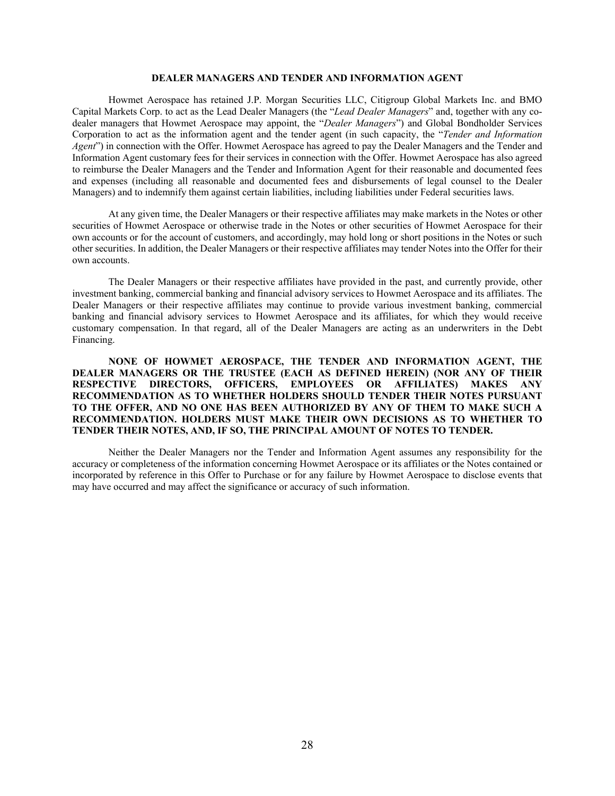## **DEALER MANAGERS AND TENDER AND INFORMATION AGENT**

<span id="page-31-0"></span>Howmet Aerospace has retained J.P. Morgan Securities LLC, Citigroup Global Markets Inc. and BMO Capital Markets Corp. to act as the Lead Dealer Managers (the "*Lead Dealer Managers*" and, together with any codealer managers that Howmet Aerospace may appoint, the "*Dealer Managers*") and Global Bondholder Services Corporation to act as the information agent and the tender agent (in such capacity, the "*Tender and Information Agent*") in connection with the Offer. Howmet Aerospace has agreed to pay the Dealer Managers and the Tender and Information Agent customary fees for their services in connection with the Offer. Howmet Aerospace has also agreed to reimburse the Dealer Managers and the Tender and Information Agent for their reasonable and documented fees and expenses (including all reasonable and documented fees and disbursements of legal counsel to the Dealer Managers) and to indemnify them against certain liabilities, including liabilities under Federal securities laws.

At any given time, the Dealer Managers or their respective affiliates may make markets in the Notes or other securities of Howmet Aerospace or otherwise trade in the Notes or other securities of Howmet Aerospace for their own accounts or for the account of customers, and accordingly, may hold long or short positions in the Notes or such other securities. In addition, the Dealer Managers or their respective affiliates may tender Notes into the Offer for their own accounts.

The Dealer Managers or their respective affiliates have provided in the past, and currently provide, other investment banking, commercial banking and financial advisory services to Howmet Aerospace and its affiliates. The Dealer Managers or their respective affiliates may continue to provide various investment banking, commercial banking and financial advisory services to Howmet Aerospace and its affiliates, for which they would receive customary compensation. In that regard, all of the Dealer Managers are acting as an underwriters in the Debt Financing.

**NONE OF HOWMET AEROSPACE, THE TENDER AND INFORMATION AGENT, THE DEALER MANAGERS OR THE TRUSTEE (EACH AS DEFINED HEREIN) (NOR ANY OF THEIR RESPECTIVE DIRECTORS, OFFICERS, EMPLOYEES OR AFFILIATES) MAKES ANY RECOMMENDATION AS TO WHETHER HOLDERS SHOULD TENDER THEIR NOTES PURSUANT TO THE OFFER, AND NO ONE HAS BEEN AUTHORIZED BY ANY OF THEM TO MAKE SUCH A RECOMMENDATION. HOLDERS MUST MAKE THEIR OWN DECISIONS AS TO WHETHER TO TENDER THEIR NOTES, AND, IF SO, THE PRINCIPAL AMOUNT OF NOTES TO TENDER.**

Neither the Dealer Managers nor the Tender and Information Agent assumes any responsibility for the accuracy or completeness of the information concerning Howmet Aerospace or its affiliates or the Notes contained or incorporated by reference in this Offer to Purchase or for any failure by Howmet Aerospace to disclose events that may have occurred and may affect the significance or accuracy of such information.